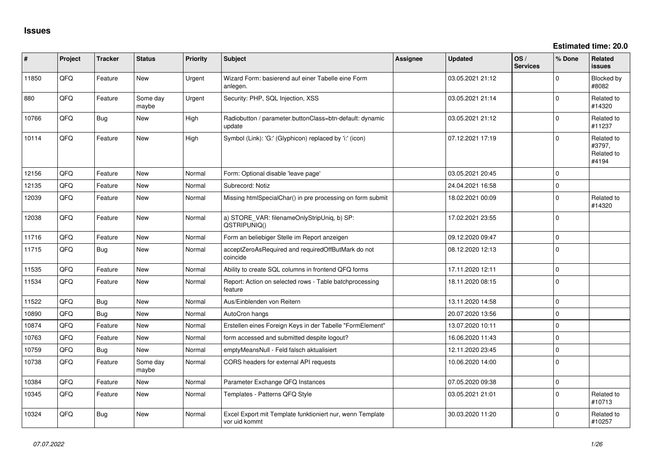**Estimated time: 20.0**

| #     | Project | <b>Tracker</b> | <b>Status</b>     | <b>Priority</b> | Subject                                                                    | <b>Assignee</b> | <b>Updated</b>   | OS/<br><b>Services</b> | % Done         | <b>Related</b><br>issues                    |
|-------|---------|----------------|-------------------|-----------------|----------------------------------------------------------------------------|-----------------|------------------|------------------------|----------------|---------------------------------------------|
| 11850 | QFQ     | Feature        | <b>New</b>        | Urgent          | Wizard Form: basierend auf einer Tabelle eine Form<br>anlegen.             |                 | 03.05.2021 21:12 |                        | $\Omega$       | Blocked by<br>#8082                         |
| 880   | QFQ     | Feature        | Some day<br>maybe | Urgent          | Security: PHP, SQL Injection, XSS                                          |                 | 03.05.2021 21:14 |                        | $\Omega$       | Related to<br>#14320                        |
| 10766 | QFQ     | <b>Bug</b>     | <b>New</b>        | High            | Radiobutton / parameter.buttonClass=btn-default: dynamic<br>update         |                 | 03.05.2021 21:12 |                        | $\Omega$       | Related to<br>#11237                        |
| 10114 | QFQ     | Feature        | <b>New</b>        | High            | Symbol (Link): 'G:' (Glyphicon) replaced by 'i:' (icon)                    |                 | 07.12.2021 17:19 |                        | $\Omega$       | Related to<br>#3797,<br>Related to<br>#4194 |
| 12156 | QFQ     | Feature        | <b>New</b>        | Normal          | Form: Optional disable 'leave page'                                        |                 | 03.05.2021 20:45 |                        | $\Omega$       |                                             |
| 12135 | QFQ     | Feature        | New               | Normal          | Subrecord: Notiz                                                           |                 | 24.04.2021 16:58 |                        | 0              |                                             |
| 12039 | QFQ     | Feature        | New               | Normal          | Missing htmlSpecialChar() in pre processing on form submit                 |                 | 18.02.2021 00:09 |                        | $\Omega$       | Related to<br>#14320                        |
| 12038 | QFQ     | Feature        | New               | Normal          | a) STORE_VAR: filenameOnlyStripUniq, b) SP:<br>QSTRIPUNIQ()                |                 | 17.02.2021 23:55 |                        | $\Omega$       |                                             |
| 11716 | QFQ     | Feature        | New               | Normal          | Form an beliebiger Stelle im Report anzeigen                               |                 | 09.12.2020 09:47 |                        | $\overline{0}$ |                                             |
| 11715 | QFQ     | Bug            | <b>New</b>        | Normal          | acceptZeroAsRequired and requiredOffButMark do not<br>coincide             |                 | 08.12.2020 12:13 |                        | $\overline{0}$ |                                             |
| 11535 | QFQ     | Feature        | <b>New</b>        | Normal          | Ability to create SQL columns in frontend QFQ forms                        |                 | 17.11.2020 12:11 |                        | $\Omega$       |                                             |
| 11534 | QFQ     | Feature        | <b>New</b>        | Normal          | Report: Action on selected rows - Table batchprocessing<br>feature         |                 | 18.11.2020 08:15 |                        | $\overline{0}$ |                                             |
| 11522 | QFQ     | Bug            | <b>New</b>        | Normal          | Aus/Einblenden von Reitern                                                 |                 | 13.11.2020 14:58 |                        | $\Omega$       |                                             |
| 10890 | QFQ     | <b>Bug</b>     | New               | Normal          | AutoCron hangs                                                             |                 | 20.07.2020 13:56 |                        | $\Omega$       |                                             |
| 10874 | QFQ     | Feature        | <b>New</b>        | Normal          | Erstellen eines Foreign Keys in der Tabelle "FormElement"                  |                 | 13.07.2020 10:11 |                        | $\Omega$       |                                             |
| 10763 | QFQ     | Feature        | New               | Normal          | form accessed and submitted despite logout?                                |                 | 16.06.2020 11:43 |                        | $\Omega$       |                                             |
| 10759 | QFQ     | Bug            | New               | Normal          | emptyMeansNull - Feld falsch aktualisiert                                  |                 | 12.11.2020 23:45 |                        | $\mathbf{0}$   |                                             |
| 10738 | QFQ     | Feature        | Some day<br>maybe | Normal          | CORS headers for external API requests                                     |                 | 10.06.2020 14:00 |                        | $\overline{0}$ |                                             |
| 10384 | QFQ     | Feature        | <b>New</b>        | Normal          | Parameter Exchange QFQ Instances                                           |                 | 07.05.2020 09:38 |                        | $\Omega$       |                                             |
| 10345 | QFQ     | Feature        | New               | Normal          | Templates - Patterns QFQ Style                                             |                 | 03.05.2021 21:01 |                        | $\Omega$       | Related to<br>#10713                        |
| 10324 | QFQ     | Bug            | New               | Normal          | Excel Export mit Template funktioniert nur, wenn Template<br>vor uid kommt |                 | 30.03.2020 11:20 |                        | $\Omega$       | Related to<br>#10257                        |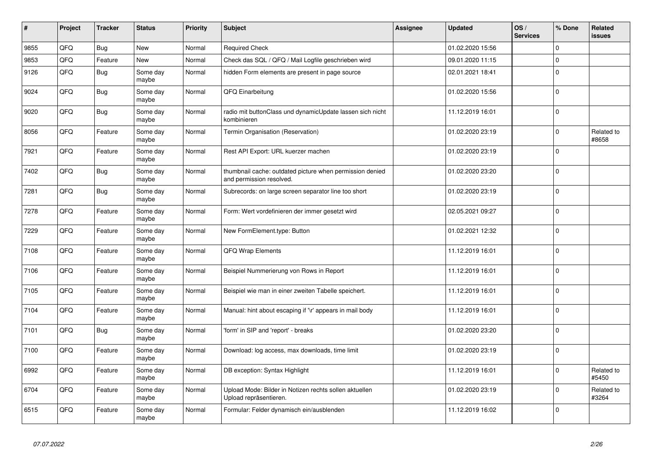| #    | Project | <b>Tracker</b> | <b>Status</b>     | <b>Priority</b> | <b>Subject</b>                                                                       | Assignee | <b>Updated</b>   | OS/<br><b>Services</b> | % Done      | Related<br>issues   |
|------|---------|----------------|-------------------|-----------------|--------------------------------------------------------------------------------------|----------|------------------|------------------------|-------------|---------------------|
| 9855 | QFQ     | Bug            | <b>New</b>        | Normal          | <b>Required Check</b>                                                                |          | 01.02.2020 15:56 |                        | $\Omega$    |                     |
| 9853 | QFQ     | Feature        | <b>New</b>        | Normal          | Check das SQL / QFQ / Mail Logfile geschrieben wird                                  |          | 09.01.2020 11:15 |                        | $\Omega$    |                     |
| 9126 | QFQ     | Bug            | Some day<br>maybe | Normal          | hidden Form elements are present in page source                                      |          | 02.01.2021 18:41 |                        | $\Omega$    |                     |
| 9024 | QFQ     | Bug            | Some day<br>maybe | Normal          | QFQ Einarbeitung                                                                     |          | 01.02.2020 15:56 |                        | $\Omega$    |                     |
| 9020 | QFQ     | <b>Bug</b>     | Some day<br>maybe | Normal          | radio mit buttonClass und dynamicUpdate lassen sich nicht<br>kombinieren             |          | 11.12.2019 16:01 |                        | $\Omega$    |                     |
| 8056 | QFQ     | Feature        | Some day<br>maybe | Normal          | Termin Organisation (Reservation)                                                    |          | 01.02.2020 23:19 |                        | $\mathbf 0$ | Related to<br>#8658 |
| 7921 | QFQ     | Feature        | Some day<br>maybe | Normal          | Rest API Export: URL kuerzer machen                                                  |          | 01.02.2020 23:19 |                        | $\Omega$    |                     |
| 7402 | QFQ     | Bug            | Some day<br>maybe | Normal          | thumbnail cache: outdated picture when permission denied<br>and permission resolved. |          | 01.02.2020 23:20 |                        | $\Omega$    |                     |
| 7281 | QFQ     | Bug            | Some day<br>maybe | Normal          | Subrecords: on large screen separator line too short                                 |          | 01.02.2020 23:19 |                        | $\Omega$    |                     |
| 7278 | QFQ     | Feature        | Some day<br>maybe | Normal          | Form: Wert vordefinieren der immer gesetzt wird                                      |          | 02.05.2021 09:27 |                        | $\mathbf 0$ |                     |
| 7229 | QFQ     | Feature        | Some day<br>maybe | Normal          | New FormElement.type: Button                                                         |          | 01.02.2021 12:32 |                        | $\Omega$    |                     |
| 7108 | QFQ     | Feature        | Some day<br>maybe | Normal          | QFQ Wrap Elements                                                                    |          | 11.12.2019 16:01 |                        | $\Omega$    |                     |
| 7106 | QFQ     | Feature        | Some day<br>maybe | Normal          | Beispiel Nummerierung von Rows in Report                                             |          | 11.12.2019 16:01 |                        | $\Omega$    |                     |
| 7105 | QFQ     | Feature        | Some day<br>maybe | Normal          | Beispiel wie man in einer zweiten Tabelle speichert.                                 |          | 11.12.2019 16:01 |                        | $\Omega$    |                     |
| 7104 | QFQ     | Feature        | Some day<br>maybe | Normal          | Manual: hint about escaping if '\r' appears in mail body                             |          | 11.12.2019 16:01 |                        | $\Omega$    |                     |
| 7101 | QFQ     | <b>Bug</b>     | Some day<br>maybe | Normal          | 'form' in SIP and 'report' - breaks                                                  |          | 01.02.2020 23:20 |                        | $\mathbf 0$ |                     |
| 7100 | QFQ     | Feature        | Some day<br>maybe | Normal          | Download: log access, max downloads, time limit                                      |          | 01.02.2020 23:19 |                        | $\Omega$    |                     |
| 6992 | QFQ     | Feature        | Some day<br>maybe | Normal          | DB exception: Syntax Highlight                                                       |          | 11.12.2019 16:01 |                        | $\Omega$    | Related to<br>#5450 |
| 6704 | QFQ     | Feature        | Some day<br>maybe | Normal          | Upload Mode: Bilder in Notizen rechts sollen aktuellen<br>Upload repräsentieren.     |          | 01.02.2020 23:19 |                        | $\mathbf 0$ | Related to<br>#3264 |
| 6515 | QFQ     | Feature        | Some day<br>maybe | Normal          | Formular: Felder dynamisch ein/ausblenden                                            |          | 11.12.2019 16:02 |                        | $\mathbf 0$ |                     |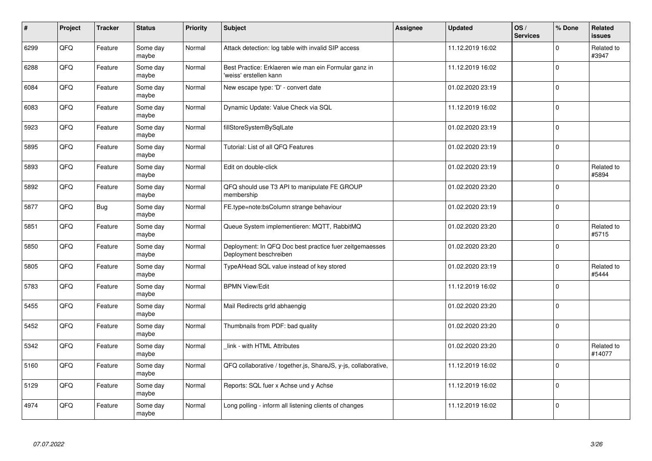| #    | Project | <b>Tracker</b> | <b>Status</b>     | <b>Priority</b> | <b>Subject</b>                                                                    | Assignee | <b>Updated</b>   | OS/<br><b>Services</b> | % Done      | Related<br>issues    |
|------|---------|----------------|-------------------|-----------------|-----------------------------------------------------------------------------------|----------|------------------|------------------------|-------------|----------------------|
| 6299 | QFQ     | Feature        | Some day<br>maybe | Normal          | Attack detection: log table with invalid SIP access                               |          | 11.12.2019 16:02 |                        | $\Omega$    | Related to<br>#3947  |
| 6288 | QFQ     | Feature        | Some day<br>maybe | Normal          | Best Practice: Erklaeren wie man ein Formular ganz in<br>'weiss' erstellen kann   |          | 11.12.2019 16:02 |                        | $\Omega$    |                      |
| 6084 | QFQ     | Feature        | Some day<br>maybe | Normal          | New escape type: 'D' - convert date                                               |          | 01.02.2020 23:19 |                        | $\Omega$    |                      |
| 6083 | QFQ     | Feature        | Some day<br>maybe | Normal          | Dynamic Update: Value Check via SQL                                               |          | 11.12.2019 16:02 |                        | $\Omega$    |                      |
| 5923 | QFQ     | Feature        | Some day<br>maybe | Normal          | fillStoreSystemBySqlLate                                                          |          | 01.02.2020 23:19 |                        | $\mathbf 0$ |                      |
| 5895 | QFQ     | Feature        | Some day<br>maybe | Normal          | Tutorial: List of all QFQ Features                                                |          | 01.02.2020 23:19 |                        | $\Omega$    |                      |
| 5893 | QFQ     | Feature        | Some day<br>maybe | Normal          | Edit on double-click                                                              |          | 01.02.2020 23:19 |                        | $\Omega$    | Related to<br>#5894  |
| 5892 | QFQ     | Feature        | Some day<br>maybe | Normal          | QFQ should use T3 API to manipulate FE GROUP<br>membership                        |          | 01.02.2020 23:20 |                        | $\Omega$    |                      |
| 5877 | QFQ     | <b>Bug</b>     | Some day<br>maybe | Normal          | FE.type=note:bsColumn strange behaviour                                           |          | 01.02.2020 23:19 |                        | $\Omega$    |                      |
| 5851 | QFQ     | Feature        | Some day<br>maybe | Normal          | Queue System implementieren: MQTT, RabbitMQ                                       |          | 01.02.2020 23:20 |                        | $\Omega$    | Related to<br>#5715  |
| 5850 | QFQ     | Feature        | Some day<br>maybe | Normal          | Deployment: In QFQ Doc best practice fuer zeitgemaesses<br>Deployment beschreiben |          | 01.02.2020 23:20 |                        | 0           |                      |
| 5805 | QFQ     | Feature        | Some day<br>maybe | Normal          | TypeAHead SQL value instead of key stored                                         |          | 01.02.2020 23:19 |                        | $\Omega$    | Related to<br>#5444  |
| 5783 | QFQ     | Feature        | Some day<br>maybe | Normal          | <b>BPMN View/Edit</b>                                                             |          | 11.12.2019 16:02 |                        | $\Omega$    |                      |
| 5455 | QFQ     | Feature        | Some day<br>maybe | Normal          | Mail Redirects grld abhaengig                                                     |          | 01.02.2020 23:20 |                        | $\mathbf 0$ |                      |
| 5452 | QFQ     | Feature        | Some day<br>maybe | Normal          | Thumbnails from PDF: bad quality                                                  |          | 01.02.2020 23:20 |                        | $\Omega$    |                      |
| 5342 | QFQ     | Feature        | Some day<br>maybe | Normal          | link - with HTML Attributes                                                       |          | 01.02.2020 23:20 |                        | $\Omega$    | Related to<br>#14077 |
| 5160 | QFQ     | Feature        | Some day<br>maybe | Normal          | QFQ collaborative / together.js, ShareJS, y-js, collaborative,                    |          | 11.12.2019 16:02 |                        | $\Omega$    |                      |
| 5129 | QFQ     | Feature        | Some day<br>maybe | Normal          | Reports: SQL fuer x Achse und y Achse                                             |          | 11.12.2019 16:02 |                        | $\Omega$    |                      |
| 4974 | QFQ     | Feature        | Some day<br>maybe | Normal          | Long polling - inform all listening clients of changes                            |          | 11.12.2019 16:02 |                        | $\Omega$    |                      |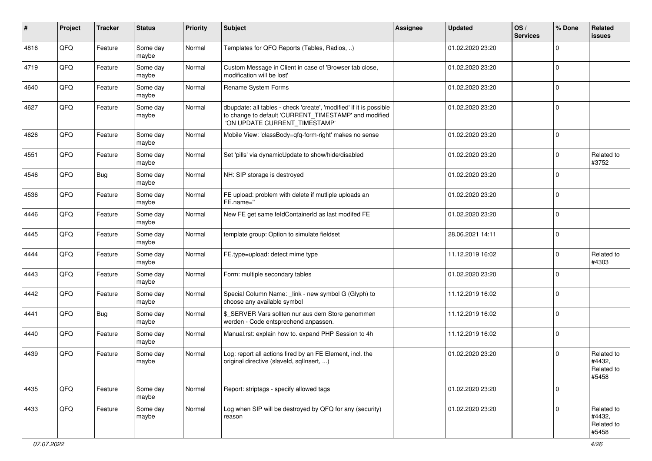| #    | Project | <b>Tracker</b> | <b>Status</b>     | <b>Priority</b> | <b>Subject</b>                                                                                                                                                | Assignee | <b>Updated</b>   | OS/<br><b>Services</b> | % Done      | Related<br><b>issues</b>                    |
|------|---------|----------------|-------------------|-----------------|---------------------------------------------------------------------------------------------------------------------------------------------------------------|----------|------------------|------------------------|-------------|---------------------------------------------|
| 4816 | QFQ     | Feature        | Some day<br>maybe | Normal          | Templates for QFQ Reports (Tables, Radios, )                                                                                                                  |          | 01.02.2020 23:20 |                        | $\Omega$    |                                             |
| 4719 | QFQ     | Feature        | Some day<br>maybe | Normal          | Custom Message in Client in case of 'Browser tab close,<br>modification will be lost'                                                                         |          | 01.02.2020 23:20 |                        | $\mathbf 0$ |                                             |
| 4640 | QFQ     | Feature        | Some day<br>maybe | Normal          | Rename System Forms                                                                                                                                           |          | 01.02.2020 23:20 |                        | $\Omega$    |                                             |
| 4627 | QFQ     | Feature        | Some day<br>maybe | Normal          | dbupdate: all tables - check 'create', 'modified' if it is possible<br>to change to default 'CURRENT_TIMESTAMP' and modified<br>'ON UPDATE CURRENT_TIMESTAMP' |          | 01.02.2020 23:20 |                        | $\mathbf 0$ |                                             |
| 4626 | QFQ     | Feature        | Some day<br>maybe | Normal          | Mobile View: 'classBody=qfq-form-right' makes no sense                                                                                                        |          | 01.02.2020 23:20 |                        | $\mathbf 0$ |                                             |
| 4551 | QFQ     | Feature        | Some day<br>maybe | Normal          | Set 'pills' via dynamicUpdate to show/hide/disabled                                                                                                           |          | 01.02.2020 23:20 |                        | $\mathbf 0$ | Related to<br>#3752                         |
| 4546 | QFQ     | Bug            | Some day<br>maybe | Normal          | NH: SIP storage is destroyed                                                                                                                                  |          | 01.02.2020 23:20 |                        | $\mathbf 0$ |                                             |
| 4536 | QFQ     | Feature        | Some day<br>maybe | Normal          | FE upload: problem with delete if mutliple uploads an<br>FE.name="                                                                                            |          | 01.02.2020 23:20 |                        | $\Omega$    |                                             |
| 4446 | QFQ     | Feature        | Some day<br>maybe | Normal          | New FE get same feldContainerId as last modifed FE                                                                                                            |          | 01.02.2020 23:20 |                        | $\mathbf 0$ |                                             |
| 4445 | QFQ     | Feature        | Some day<br>maybe | Normal          | template group: Option to simulate fieldset                                                                                                                   |          | 28.06.2021 14:11 |                        | $\mathbf 0$ |                                             |
| 4444 | QFQ     | Feature        | Some day<br>maybe | Normal          | FE.type=upload: detect mime type                                                                                                                              |          | 11.12.2019 16:02 |                        | 0           | Related to<br>#4303                         |
| 4443 | QFQ     | Feature        | Some day<br>maybe | Normal          | Form: multiple secondary tables                                                                                                                               |          | 01.02.2020 23:20 |                        | $\Omega$    |                                             |
| 4442 | QFQ     | Feature        | Some day<br>maybe | Normal          | Special Column Name: _link - new symbol G (Glyph) to<br>choose any available symbol                                                                           |          | 11.12.2019 16:02 |                        | $\mathbf 0$ |                                             |
| 4441 | QFQ     | Bug            | Some day<br>maybe | Normal          | \$_SERVER Vars sollten nur aus dem Store genommen<br>werden - Code entsprechend anpassen.                                                                     |          | 11.12.2019 16:02 |                        | $\mathbf 0$ |                                             |
| 4440 | QFQ     | Feature        | Some day<br>maybe | Normal          | Manual.rst: explain how to. expand PHP Session to 4h                                                                                                          |          | 11.12.2019 16:02 |                        | $\mathbf 0$ |                                             |
| 4439 | QFQ     | Feature        | Some day<br>maybe | Normal          | Log: report all actions fired by an FE Element, incl. the<br>original directive (slaveld, sqlInsert, )                                                        |          | 01.02.2020 23:20 |                        | $\mathbf 0$ | Related to<br>#4432,<br>Related to<br>#5458 |
| 4435 | QFQ     | Feature        | Some day<br>maybe | Normal          | Report: striptags - specify allowed tags                                                                                                                      |          | 01.02.2020 23:20 |                        | $\mathbf 0$ |                                             |
| 4433 | QFQ     | Feature        | Some day<br>maybe | Normal          | Log when SIP will be destroyed by QFQ for any (security)<br>reason                                                                                            |          | 01.02.2020 23:20 |                        | $\mathbf 0$ | Related to<br>#4432,<br>Related to<br>#5458 |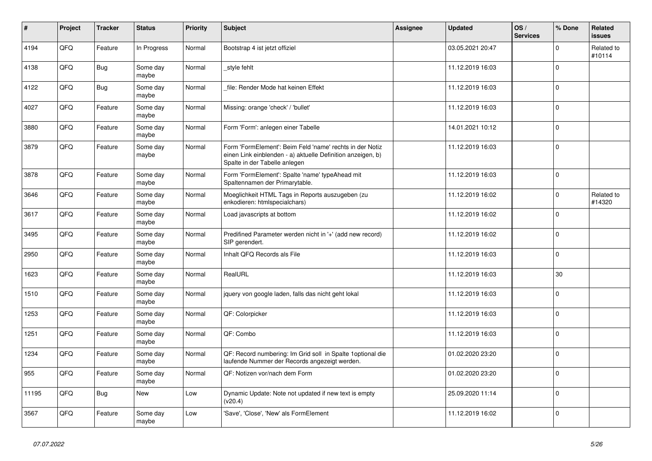| $\vert$ # | Project | <b>Tracker</b> | <b>Status</b>     | <b>Priority</b> | <b>Subject</b>                                                                                                                                           | Assignee | <b>Updated</b>   | OS/<br><b>Services</b> | % Done      | Related<br><b>issues</b> |
|-----------|---------|----------------|-------------------|-----------------|----------------------------------------------------------------------------------------------------------------------------------------------------------|----------|------------------|------------------------|-------------|--------------------------|
| 4194      | QFQ     | Feature        | In Progress       | Normal          | Bootstrap 4 ist jetzt offiziel                                                                                                                           |          | 03.05.2021 20:47 |                        | $\Omega$    | Related to<br>#10114     |
| 4138      | QFQ     | <b>Bug</b>     | Some day<br>maybe | Normal          | _style fehlt                                                                                                                                             |          | 11.12.2019 16:03 |                        | $\mathbf 0$ |                          |
| 4122      | QFQ     | <b>Bug</b>     | Some day<br>maybe | Normal          | file: Render Mode hat keinen Effekt                                                                                                                      |          | 11.12.2019 16:03 |                        | $\Omega$    |                          |
| 4027      | QFQ     | Feature        | Some day<br>maybe | Normal          | Missing: orange 'check' / 'bullet'                                                                                                                       |          | 11.12.2019 16:03 |                        | $\Omega$    |                          |
| 3880      | QFQ     | Feature        | Some day<br>maybe | Normal          | Form 'Form': anlegen einer Tabelle                                                                                                                       |          | 14.01.2021 10:12 |                        | 0           |                          |
| 3879      | QFQ     | Feature        | Some day<br>maybe | Normal          | Form 'FormElement': Beim Feld 'name' rechts in der Notiz<br>einen Link einblenden - a) aktuelle Definition anzeigen, b)<br>Spalte in der Tabelle anlegen |          | 11.12.2019 16:03 |                        | $\Omega$    |                          |
| 3878      | QFQ     | Feature        | Some day<br>maybe | Normal          | Form 'FormElement': Spalte 'name' typeAhead mit<br>Spaltennamen der Primarytable.                                                                        |          | 11.12.2019 16:03 |                        | $\Omega$    |                          |
| 3646      | QFQ     | Feature        | Some day<br>maybe | Normal          | Moeglichkeit HTML Tags in Reports auszugeben (zu<br>enkodieren: htmlspecialchars)                                                                        |          | 11.12.2019 16:02 |                        | $\Omega$    | Related to<br>#14320     |
| 3617      | QFQ     | Feature        | Some day<br>maybe | Normal          | Load javascripts at bottom                                                                                                                               |          | 11.12.2019 16:02 |                        | $\Omega$    |                          |
| 3495      | QFQ     | Feature        | Some day<br>maybe | Normal          | Predifined Parameter werden nicht in '+' (add new record)<br>SIP gerendert.                                                                              |          | 11.12.2019 16:02 |                        | $\mathbf 0$ |                          |
| 2950      | QFQ     | Feature        | Some day<br>maybe | Normal          | Inhalt QFQ Records als File                                                                                                                              |          | 11.12.2019 16:03 |                        | $\Omega$    |                          |
| 1623      | QFQ     | Feature        | Some day<br>maybe | Normal          | RealURL                                                                                                                                                  |          | 11.12.2019 16:03 |                        | 30          |                          |
| 1510      | QFQ     | Feature        | Some day<br>maybe | Normal          | jquery von google laden, falls das nicht geht lokal                                                                                                      |          | 11.12.2019 16:03 |                        | $\Omega$    |                          |
| 1253      | QFQ     | Feature        | Some day<br>maybe | Normal          | QF: Colorpicker                                                                                                                                          |          | 11.12.2019 16:03 |                        | $\Omega$    |                          |
| 1251      | QFQ     | Feature        | Some day<br>maybe | Normal          | QF: Combo                                                                                                                                                |          | 11.12.2019 16:03 |                        | $\mathbf 0$ |                          |
| 1234      | QFQ     | Feature        | Some day<br>maybe | Normal          | QF: Record numbering: Im Grid soll in Spalte 1optional die<br>laufende Nummer der Records angezeigt werden.                                              |          | 01.02.2020 23:20 |                        | $\Omega$    |                          |
| 955       | QFQ     | Feature        | Some day<br>maybe | Normal          | QF: Notizen vor/nach dem Form                                                                                                                            |          | 01.02.2020 23:20 |                        | $\Omega$    |                          |
| 11195     | QFQ     | <b>Bug</b>     | <b>New</b>        | Low             | Dynamic Update: Note not updated if new text is empty<br>(v20.4)                                                                                         |          | 25.09.2020 11:14 |                        | 0           |                          |
| 3567      | QFQ     | Feature        | Some day<br>maybe | Low             | 'Save', 'Close', 'New' als FormElement                                                                                                                   |          | 11.12.2019 16:02 |                        | $\Omega$    |                          |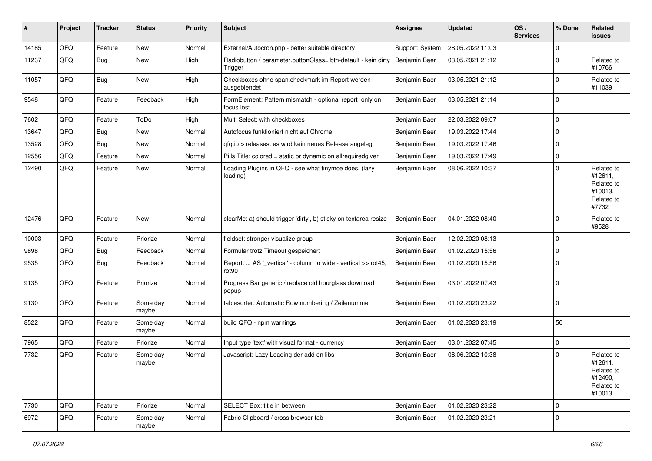| #     | Project | <b>Tracker</b> | <b>Status</b>     | <b>Priority</b> | Subject                                                                            | <b>Assignee</b> | <b>Updated</b>   | OS/<br><b>Services</b> | % Done      | Related<br>issues                                                      |
|-------|---------|----------------|-------------------|-----------------|------------------------------------------------------------------------------------|-----------------|------------------|------------------------|-------------|------------------------------------------------------------------------|
| 14185 | QFQ     | Feature        | New               | Normal          | External/Autocron.php - better suitable directory                                  | Support: System | 28.05.2022 11:03 |                        | $\Omega$    |                                                                        |
| 11237 | QFQ     | <b>Bug</b>     | New               | High            | Radiobutton / parameter.buttonClass= btn-default - kein dirty<br>Trigger           | Benjamin Baer   | 03.05.2021 21:12 |                        | $\mathbf 0$ | Related to<br>#10766                                                   |
| 11057 | QFQ     | <b>Bug</b>     | New               | High            | Checkboxes ohne span.checkmark im Report werden<br>ausgeblendet                    | Benjamin Baer   | 03.05.2021 21:12 |                        | $\Omega$    | Related to<br>#11039                                                   |
| 9548  | QFQ     | Feature        | Feedback          | High            | FormElement: Pattern mismatch - optional report only on<br>focus lost              | Benjamin Baer   | 03.05.2021 21:14 |                        | 0           |                                                                        |
| 7602  | QFQ     | Feature        | ToDo              | High            | Multi Select: with checkboxes                                                      | Benjamin Baer   | 22.03.2022 09:07 |                        | $\Omega$    |                                                                        |
| 13647 | QFQ     | <b>Bug</b>     | <b>New</b>        | Normal          | Autofocus funktioniert nicht auf Chrome                                            | Benjamin Baer   | 19.03.2022 17:44 |                        | $\mathbf 0$ |                                                                        |
| 13528 | QFQ     | Bug            | New               | Normal          | gfg.io > releases: es wird kein neues Release angelegt                             | Benjamin Baer   | 19.03.2022 17:46 |                        | $\mathbf 0$ |                                                                        |
| 12556 | QFQ     | Feature        | New               | Normal          | Pills Title: colored = static or dynamic on allrequiredgiven                       | Benjamin Baer   | 19.03.2022 17:49 |                        | $\Omega$    |                                                                        |
| 12490 | QFQ     | Feature        | New               | Normal          | Loading Plugins in QFQ - see what tinymce does. (lazy<br>loading)                  | Benjamin Baer   | 08.06.2022 10:37 |                        | $\Omega$    | Related to<br>#12611,<br>Related to<br>#10013,<br>Related to<br>#7732  |
| 12476 | QFQ     | Feature        | <b>New</b>        | Normal          | clearMe: a) should trigger 'dirty', b) sticky on textarea resize                   | Benjamin Baer   | 04.01.2022 08:40 |                        | $\mathbf 0$ | Related to<br>#9528                                                    |
| 10003 | QFQ     | Feature        | Priorize          | Normal          | fieldset: stronger visualize group                                                 | Benjamin Baer   | 12.02.2020 08:13 |                        | $\mathbf 0$ |                                                                        |
| 9898  | QFQ     | <b>Bug</b>     | Feedback          | Normal          | Formular trotz Timeout gespeichert                                                 | Benjamin Baer   | 01.02.2020 15:56 |                        | $\mathbf 0$ |                                                                        |
| 9535  | QFQ     | <b>Bug</b>     | Feedback          | Normal          | Report:  AS '_vertical' - column to wide - vertical >> rot45,<br>rot <sub>90</sub> | Benjamin Baer   | 01.02.2020 15:56 |                        | $\Omega$    |                                                                        |
| 9135  | QFQ     | Feature        | Priorize          | Normal          | Progress Bar generic / replace old hourglass download<br>popup                     | Benjamin Baer   | 03.01.2022 07:43 |                        | $\mathbf 0$ |                                                                        |
| 9130  | QFQ     | Feature        | Some day<br>maybe | Normal          | tablesorter: Automatic Row numbering / Zeilenummer                                 | Benjamin Baer   | 01.02.2020 23:22 |                        | $\Omega$    |                                                                        |
| 8522  | QFQ     | Feature        | Some day<br>maybe | Normal          | build QFQ - npm warnings                                                           | Benjamin Baer   | 01.02.2020 23:19 |                        | 50          |                                                                        |
| 7965  | QFQ     | Feature        | Priorize          | Normal          | Input type 'text' with visual format - currency                                    | Benjamin Baer   | 03.01.2022 07:45 |                        | $\Omega$    |                                                                        |
| 7732  | QFQ     | Feature        | Some day<br>maybe | Normal          | Javascript: Lazy Loading der add on libs                                           | Benjamin Baer   | 08.06.2022 10:38 |                        | $\Omega$    | Related to<br>#12611,<br>Related to<br>#12490,<br>Related to<br>#10013 |
| 7730  | QFQ     | Feature        | Priorize          | Normal          | SELECT Box: title in between                                                       | Benjamin Baer   | 01.02.2020 23:22 |                        | 0           |                                                                        |
| 6972  | QFQ     | Feature        | Some day<br>maybe | Normal          | Fabric Clipboard / cross browser tab                                               | Benjamin Baer   | 01.02.2020 23:21 |                        | $\mathbf 0$ |                                                                        |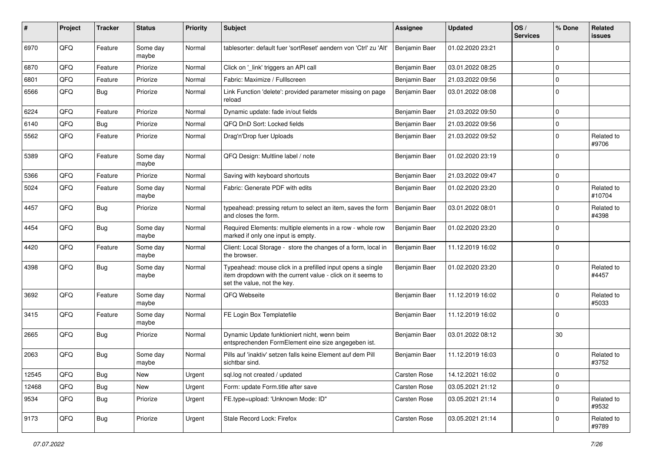| #     | Project | <b>Tracker</b> | <b>Status</b>     | <b>Priority</b> | Subject                                                                                                                                                  | Assignee      | <b>Updated</b>   | OS/<br><b>Services</b> | % Done         | Related<br>issues    |
|-------|---------|----------------|-------------------|-----------------|----------------------------------------------------------------------------------------------------------------------------------------------------------|---------------|------------------|------------------------|----------------|----------------------|
| 6970  | QFQ     | Feature        | Some day<br>maybe | Normal          | tablesorter: default fuer 'sortReset' aendern von 'Ctrl' zu 'Alt'                                                                                        | Benjamin Baer | 01.02.2020 23:21 |                        | $\Omega$       |                      |
| 6870  | QFQ     | Feature        | Priorize          | Normal          | Click on '_link' triggers an API call                                                                                                                    | Benjamin Baer | 03.01.2022 08:25 |                        | $\mathbf 0$    |                      |
| 6801  | QFQ     | Feature        | Priorize          | Normal          | Fabric: Maximize / Fulllscreen                                                                                                                           | Benjamin Baer | 21.03.2022 09:56 |                        | $\mathbf 0$    |                      |
| 6566  | QFQ     | <b>Bug</b>     | Priorize          | Normal          | Link Function 'delete': provided parameter missing on page<br>reload                                                                                     | Benjamin Baer | 03.01.2022 08:08 |                        | $\Omega$       |                      |
| 6224  | QFQ     | Feature        | Priorize          | Normal          | Dynamic update: fade in/out fields                                                                                                                       | Benjamin Baer | 21.03.2022 09:50 |                        | $\mathbf 0$    |                      |
| 6140  | QFQ     | Bug            | Priorize          | Normal          | QFQ DnD Sort: Locked fields                                                                                                                              | Benjamin Baer | 21.03.2022 09:56 |                        | $\mathbf 0$    |                      |
| 5562  | QFQ     | Feature        | Priorize          | Normal          | Drag'n'Drop fuer Uploads                                                                                                                                 | Benjamin Baer | 21.03.2022 09:52 |                        | $\Omega$       | Related to<br>#9706  |
| 5389  | QFQ     | Feature        | Some day<br>maybe | Normal          | QFQ Design: Multline label / note                                                                                                                        | Benjamin Baer | 01.02.2020 23:19 |                        | $\Omega$       |                      |
| 5366  | QFQ     | Feature        | Priorize          | Normal          | Saving with keyboard shortcuts                                                                                                                           | Benjamin Baer | 21.03.2022 09:47 |                        | $\mathbf 0$    |                      |
| 5024  | QFQ     | Feature        | Some day<br>maybe | Normal          | Fabric: Generate PDF with edits                                                                                                                          | Benjamin Baer | 01.02.2020 23:20 |                        | $\mathbf 0$    | Related to<br>#10704 |
| 4457  | QFQ     | <b>Bug</b>     | Priorize          | Normal          | typeahead: pressing return to select an item, saves the form<br>and closes the form.                                                                     | Benjamin Baer | 03.01.2022 08:01 |                        | $\Omega$       | Related to<br>#4398  |
| 4454  | QFQ     | <b>Bug</b>     | Some day<br>maybe | Normal          | Required Elements: multiple elements in a row - whole row<br>marked if only one input is empty.                                                          | Benjamin Baer | 01.02.2020 23:20 |                        | $\Omega$       |                      |
| 4420  | QFQ     | Feature        | Some day<br>maybe | Normal          | Client: Local Storage - store the changes of a form, local in<br>the browser.                                                                            | Benjamin Baer | 11.12.2019 16:02 |                        | $\Omega$       |                      |
| 4398  | QFQ     | <b>Bug</b>     | Some day<br>maybe | Normal          | Typeahead: mouse click in a prefilled input opens a single<br>item dropdown with the current value - click on it seems to<br>set the value, not the key. | Benjamin Baer | 01.02.2020 23:20 |                        | $\mathbf 0$    | Related to<br>#4457  |
| 3692  | QFQ     | Feature        | Some day<br>maybe | Normal          | QFQ Webseite                                                                                                                                             | Benjamin Baer | 11.12.2019 16:02 |                        | $\Omega$       | Related to<br>#5033  |
| 3415  | QFQ     | Feature        | Some day<br>maybe | Normal          | FE Login Box Templatefile                                                                                                                                | Benjamin Baer | 11.12.2019 16:02 |                        | $\Omega$       |                      |
| 2665  | QFQ     | <b>Bug</b>     | Priorize          | Normal          | Dynamic Update funktioniert nicht, wenn beim<br>entsprechenden FormElement eine size angegeben ist.                                                      | Benjamin Baer | 03.01.2022 08:12 |                        | 30             |                      |
| 2063  | QFQ     | Bug            | Some day<br>maybe | Normal          | Pills auf 'inaktiv' setzen falls keine Element auf dem Pill<br>sichtbar sind.                                                                            | Benjamin Baer | 11.12.2019 16:03 |                        | $\overline{0}$ | Related to<br>#3752  |
| 12545 | QFG     | <b>Bug</b>     | New               | Urgent          | sql.log not created / updated                                                                                                                            | Carsten Rose  | 14.12.2021 16:02 |                        | 0              |                      |
| 12468 | QFQ     | <b>Bug</b>     | New               | Urgent          | Form: update Form.title after save                                                                                                                       | Carsten Rose  | 03.05.2021 21:12 |                        | $\mathbf 0$    |                      |
| 9534  | QFQ     | <b>Bug</b>     | Priorize          | Urgent          | FE.type=upload: 'Unknown Mode: ID"                                                                                                                       | Carsten Rose  | 03.05.2021 21:14 |                        | 0              | Related to<br>#9532  |
| 9173  | QFQ     | <b>Bug</b>     | Priorize          | Urgent          | Stale Record Lock: Firefox                                                                                                                               | Carsten Rose  | 03.05.2021 21:14 |                        | 0              | Related to<br>#9789  |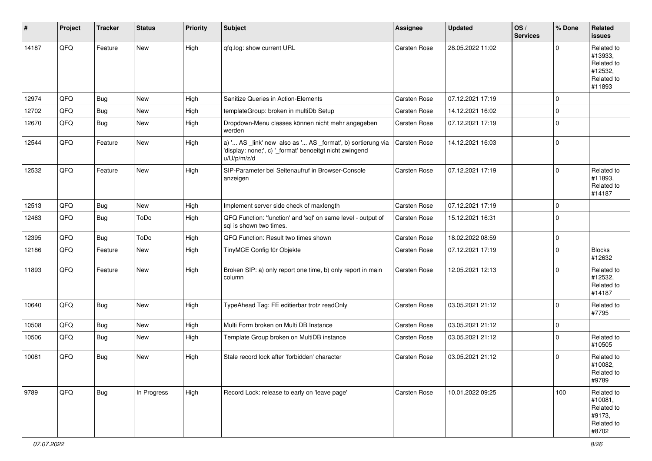| #     | Project | <b>Tracker</b> | <b>Status</b> | <b>Priority</b> | Subject                                                                                                                               | Assignee     | <b>Updated</b>   | OS/<br><b>Services</b> | % Done      | Related<br><b>issues</b>                                               |
|-------|---------|----------------|---------------|-----------------|---------------------------------------------------------------------------------------------------------------------------------------|--------------|------------------|------------------------|-------------|------------------------------------------------------------------------|
| 14187 | QFQ     | Feature        | New           | High            | qfq.log: show current URL                                                                                                             | Carsten Rose | 28.05.2022 11:02 |                        | $\Omega$    | Related to<br>#13933,<br>Related to<br>#12532,<br>Related to<br>#11893 |
| 12974 | QFQ     | <b>Bug</b>     | New           | High            | Sanitize Queries in Action-Elements                                                                                                   | Carsten Rose | 07.12.2021 17:19 |                        | $\mathbf 0$ |                                                                        |
| 12702 | QFQ     | <b>Bug</b>     | New           | High            | templateGroup: broken in multiDb Setup                                                                                                | Carsten Rose | 14.12.2021 16:02 |                        | $\mathbf 0$ |                                                                        |
| 12670 | QFQ     | <b>Bug</b>     | New           | High            | Dropdown-Menu classes können nicht mehr angegeben<br>werden                                                                           | Carsten Rose | 07.12.2021 17:19 |                        | $\mathbf 0$ |                                                                        |
| 12544 | QFQ     | Feature        | New           | High            | a) ' AS _link' new also as ' AS _format', b) sortierung via<br>'display: none;', c) '_format' benoeitgt nicht zwingend<br>u/U/p/m/z/d | Carsten Rose | 14.12.2021 16:03 |                        | $\mathbf 0$ |                                                                        |
| 12532 | QFQ     | Feature        | New           | High            | SIP-Parameter bei Seitenaufruf in Browser-Console<br>anzeigen                                                                         | Carsten Rose | 07.12.2021 17:19 |                        | $\Omega$    | Related to<br>#11893.<br>Related to<br>#14187                          |
| 12513 | QFQ     | <b>Bug</b>     | New           | High            | Implement server side check of maxlength                                                                                              | Carsten Rose | 07.12.2021 17:19 |                        | $\mathbf 0$ |                                                                        |
| 12463 | QFQ     | <b>Bug</b>     | ToDo          | High            | QFQ Function: 'function' and 'sgl' on same level - output of<br>sql is shown two times.                                               | Carsten Rose | 15.12.2021 16:31 |                        | $\mathbf 0$ |                                                                        |
| 12395 | QFQ     | <b>Bug</b>     | ToDo          | High            | QFQ Function: Result two times shown                                                                                                  | Carsten Rose | 18.02.2022 08:59 |                        | $\mathbf 0$ |                                                                        |
| 12186 | QFQ     | Feature        | New           | High            | TinyMCE Config für Objekte                                                                                                            | Carsten Rose | 07.12.2021 17:19 |                        | $\mathbf 0$ | <b>Blocks</b><br>#12632                                                |
| 11893 | QFQ     | Feature        | New           | High            | Broken SIP: a) only report one time, b) only report in main<br>column                                                                 | Carsten Rose | 12.05.2021 12:13 |                        | $\mathbf 0$ | Related to<br>#12532,<br>Related to<br>#14187                          |
| 10640 | QFQ     | <b>Bug</b>     | New           | High            | TypeAhead Tag: FE editierbar trotz readOnly                                                                                           | Carsten Rose | 03.05.2021 21:12 |                        | $\Omega$    | Related to<br>#7795                                                    |
| 10508 | QFQ     | Bug            | New           | High            | Multi Form broken on Multi DB Instance                                                                                                | Carsten Rose | 03.05.2021 21:12 |                        | $\mathbf 0$ |                                                                        |
| 10506 | QFQ     | Bug            | New           | High            | Template Group broken on MultiDB instance                                                                                             | Carsten Rose | 03.05.2021 21:12 |                        | $\mathbf 0$ | Related to<br>#10505                                                   |
| 10081 | QFQ     | <b>Bug</b>     | New           | High            | Stale record lock after 'forbidden' character                                                                                         | Carsten Rose | 03.05.2021 21:12 |                        | $\Omega$    | Related to<br>#10082,<br>Related to<br>#9789                           |
| 9789  | QFQ     | Bug            | In Progress   | High            | Record Lock: release to early on 'leave page'                                                                                         | Carsten Rose | 10.01.2022 09:25 |                        | 100         | Related to<br>#10081,<br>Related to<br>#9173,<br>Related to<br>#8702   |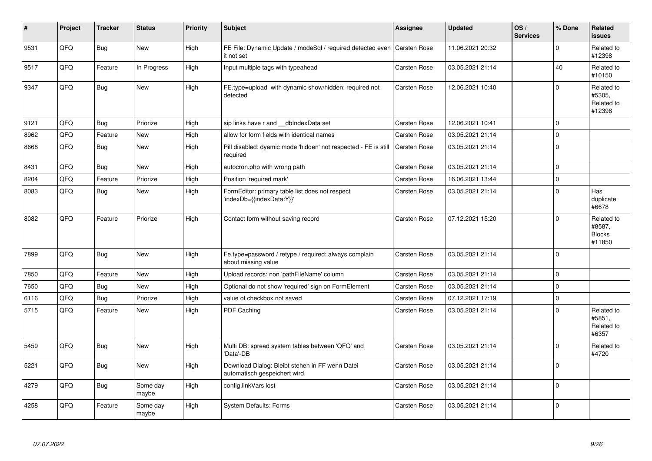| $\sharp$ | Project | <b>Tracker</b> | <b>Status</b>     | <b>Priority</b> | <b>Subject</b>                                                                          | Assignee            | <b>Updated</b>   | OS/<br><b>Services</b> | % Done         | Related<br>issues                               |
|----------|---------|----------------|-------------------|-----------------|-----------------------------------------------------------------------------------------|---------------------|------------------|------------------------|----------------|-------------------------------------------------|
| 9531     | QFQ     | <b>Bug</b>     | <b>New</b>        | High            | FE File: Dynamic Update / modeSql / required detected even   Carsten Rose<br>it not set |                     | 11.06.2021 20:32 |                        | $\Omega$       | Related to<br>#12398                            |
| 9517     | QFQ     | Feature        | In Progress       | High            | Input multiple tags with typeahead                                                      | Carsten Rose        | 03.05.2021 21:14 |                        | 40             | Related to<br>#10150                            |
| 9347     | QFQ     | <b>Bug</b>     | New               | High            | FE.type=upload with dynamic show/hidden: required not<br>detected                       | Carsten Rose        | 12.06.2021 10:40 |                        | $\Omega$       | Related to<br>#5305,<br>Related to<br>#12398    |
| 9121     | QFQ     | Bug            | Priorize          | High            | sip links have r and __dbIndexData set                                                  | Carsten Rose        | 12.06.2021 10:41 |                        | $\Omega$       |                                                 |
| 8962     | QFQ     | Feature        | <b>New</b>        | High            | allow for form fields with identical names                                              | <b>Carsten Rose</b> | 03.05.2021 21:14 |                        | $\mathbf 0$    |                                                 |
| 8668     | QFQ     | <b>Bug</b>     | New               | High            | Pill disabled: dyamic mode 'hidden' not respected - FE is still<br>required             | Carsten Rose        | 03.05.2021 21:14 |                        | $\Omega$       |                                                 |
| 8431     | QFQ     | Bug            | <b>New</b>        | High            | autocron.php with wrong path                                                            | Carsten Rose        | 03.05.2021 21:14 |                        | $\Omega$       |                                                 |
| 8204     | QFQ     | Feature        | Priorize          | High            | Position 'required mark'                                                                | Carsten Rose        | 16.06.2021 13:44 |                        | $\Omega$       |                                                 |
| 8083     | QFQ     | <b>Bug</b>     | New               | High            | FormEditor: primary table list does not respect<br>'indexDb={{indexData:Y}}'            | Carsten Rose        | 03.05.2021 21:14 |                        | $\Omega$       | Has<br>duplicate<br>#6678                       |
| 8082     | QFQ     | Feature        | Priorize          | High            | Contact form without saving record                                                      | Carsten Rose        | 07.12.2021 15:20 |                        | $\Omega$       | Related to<br>#8587.<br><b>Blocks</b><br>#11850 |
| 7899     | QFQ     | <b>Bug</b>     | New               | High            | Fe.type=password / retype / required: always complain<br>about missing value            | Carsten Rose        | 03.05.2021 21:14 |                        | $\overline{0}$ |                                                 |
| 7850     | QFQ     | Feature        | <b>New</b>        | High            | Upload records: non 'pathFileName' column                                               | <b>Carsten Rose</b> | 03.05.2021 21:14 |                        | $\mathbf 0$    |                                                 |
| 7650     | QFQ     | <b>Bug</b>     | New               | High            | Optional do not show 'required' sign on FormElement                                     | <b>Carsten Rose</b> | 03.05.2021 21:14 |                        | $\overline{0}$ |                                                 |
| 6116     | QFQ     | <b>Bug</b>     | Priorize          | High            | value of checkbox not saved                                                             | Carsten Rose        | 07.12.2021 17:19 |                        | $\Omega$       |                                                 |
| 5715     | QFQ     | Feature        | New               | High            | PDF Caching                                                                             | Carsten Rose        | 03.05.2021 21:14 |                        | $\Omega$       | Related to<br>#5851,<br>Related to<br>#6357     |
| 5459     | QFQ     | <b>Bug</b>     | New               | High            | Multi DB: spread system tables between 'QFQ' and<br>'Data'-DB                           | Carsten Rose        | 03.05.2021 21:14 |                        | $\Omega$       | Related to<br>#4720                             |
| 5221     | QFQ     | <b>Bug</b>     | New               | High            | Download Dialog: Bleibt stehen in FF wenn Datei<br>automatisch gespeichert wird.        | <b>Carsten Rose</b> | 03.05.2021 21:14 |                        | $\Omega$       |                                                 |
| 4279     | QFQ     | <b>Bug</b>     | Some day<br>maybe | High            | config.linkVars lost                                                                    | Carsten Rose        | 03.05.2021 21:14 |                        | $\mathbf 0$    |                                                 |
| 4258     | QFQ     | Feature        | Some day<br>maybe | High            | <b>System Defaults: Forms</b>                                                           | <b>Carsten Rose</b> | 03.05.2021 21:14 |                        | $\Omega$       |                                                 |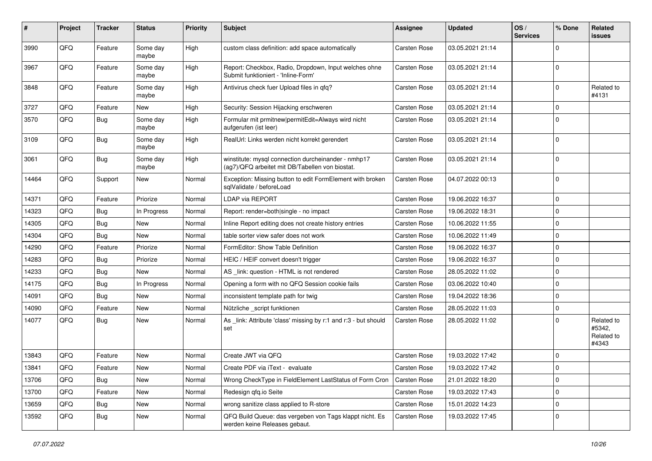| ∦     | Project | <b>Tracker</b> | <b>Status</b>     | <b>Priority</b> | Subject                                                                                                | Assignee            | <b>Updated</b>   | OS/<br><b>Services</b> | % Done      | Related<br>issues                           |
|-------|---------|----------------|-------------------|-----------------|--------------------------------------------------------------------------------------------------------|---------------------|------------------|------------------------|-------------|---------------------------------------------|
| 3990  | QFQ     | Feature        | Some day<br>maybe | High            | custom class definition: add space automatically                                                       | Carsten Rose        | 03.05.2021 21:14 |                        | $\Omega$    |                                             |
| 3967  | QFQ     | Feature        | Some day<br>maybe | High            | Report: Checkbox, Radio, Dropdown, Input welches ohne<br>Submit funktioniert - 'Inline-Form'           | Carsten Rose        | 03.05.2021 21:14 |                        | $\Omega$    |                                             |
| 3848  | QFQ     | Feature        | Some day<br>maybe | High            | Antivirus check fuer Upload files in qfq?                                                              | <b>Carsten Rose</b> | 03.05.2021 21:14 |                        | $\Omega$    | Related to<br>#4131                         |
| 3727  | QFQ     | Feature        | New               | High            | Security: Session Hijacking erschweren                                                                 | Carsten Rose        | 03.05.2021 21:14 |                        | 0           |                                             |
| 3570  | QFQ     | <b>Bug</b>     | Some day<br>maybe | High            | Formular mit prmitnew permitEdit=Always wird nicht<br>aufgerufen (ist leer)                            | Carsten Rose        | 03.05.2021 21:14 |                        | $\Omega$    |                                             |
| 3109  | QFQ     | Bug            | Some day<br>maybe | High            | RealUrl: Links werden nicht korrekt gerendert                                                          | Carsten Rose        | 03.05.2021 21:14 |                        | $\Omega$    |                                             |
| 3061  | QFQ     | <b>Bug</b>     | Some day<br>maybe | High            | winstitute: mysql connection durcheinander - nmhp17<br>(ag7)/QFQ arbeitet mit DB/Tabellen von biostat. | Carsten Rose        | 03.05.2021 21:14 |                        | 0           |                                             |
| 14464 | QFQ     | Support        | New               | Normal          | Exception: Missing button to edit FormElement with broken<br>sqlValidate / beforeLoad                  | <b>Carsten Rose</b> | 04.07.2022 00:13 |                        | $\Omega$    |                                             |
| 14371 | QFQ     | Feature        | Priorize          | Normal          | LDAP via REPORT                                                                                        | Carsten Rose        | 19.06.2022 16:37 |                        | $\Omega$    |                                             |
| 14323 | QFQ     | <b>Bug</b>     | In Progress       | Normal          | Report: render=both single - no impact                                                                 | <b>Carsten Rose</b> | 19.06.2022 18:31 |                        | $\Omega$    |                                             |
| 14305 | QFQ     | <b>Bug</b>     | New               | Normal          | Inline Report editing does not create history entries                                                  | Carsten Rose        | 10.06.2022 11:55 |                        | $\mathbf 0$ |                                             |
| 14304 | QFQ     | Bug            | New               | Normal          | table sorter view safer does not work                                                                  | Carsten Rose        | 10.06.2022 11:49 |                        | $\Omega$    |                                             |
| 14290 | QFQ     | Feature        | Priorize          | Normal          | FormEditor: Show Table Definition                                                                      | <b>Carsten Rose</b> | 19.06.2022 16:37 |                        | 0           |                                             |
| 14283 | QFQ     | Bug            | Priorize          | Normal          | HEIC / HEIF convert doesn't trigger                                                                    | Carsten Rose        | 19.06.2022 16:37 |                        | $\Omega$    |                                             |
| 14233 | QFQ     | <b>Bug</b>     | New               | Normal          | AS link: question - HTML is not rendered                                                               | Carsten Rose        | 28.05.2022 11:02 |                        | $\Omega$    |                                             |
| 14175 | QFQ     | Bug            | In Progress       | Normal          | Opening a form with no QFQ Session cookie fails                                                        | Carsten Rose        | 03.06.2022 10:40 |                        | $\Omega$    |                                             |
| 14091 | QFQ     | Bug            | New               | Normal          | inconsistent template path for twig                                                                    | Carsten Rose        | 19.04.2022 18:36 |                        | $\Omega$    |                                             |
| 14090 | QFQ     | Feature        | <b>New</b>        | Normal          | Nützliche _script funktionen                                                                           | <b>Carsten Rose</b> | 28.05.2022 11:03 |                        | 0           |                                             |
| 14077 | QFQ     | <b>Bug</b>     | New               | Normal          | As _link: Attribute 'class' missing by r:1 and r:3 - but should<br>set                                 | Carsten Rose        | 28.05.2022 11:02 |                        | $\Omega$    | Related to<br>#5342,<br>Related to<br>#4343 |
| 13843 | QFQ     | Feature        | New               | Normal          | Create JWT via QFQ                                                                                     | Carsten Rose        | 19.03.2022 17:42 |                        | $\mathbf 0$ |                                             |
| 13841 | QFQ     | Feature        | New               | Normal          | Create PDF via iText - evaluate                                                                        | Carsten Rose        | 19.03.2022 17:42 |                        | $\Omega$    |                                             |
| 13706 | QFQ     | Bug            | New               | Normal          | Wrong CheckType in FieldElement LastStatus of Form Cron                                                | <b>Carsten Rose</b> | 21.01.2022 18:20 |                        | 0           |                                             |
| 13700 | QFQ     | Feature        | New               | Normal          | Redesign qfq.io Seite                                                                                  | Carsten Rose        | 19.03.2022 17:43 |                        | $\mathbf 0$ |                                             |
| 13659 | QFQ     | Bug            | New               | Normal          | wrong sanitize class applied to R-store                                                                | Carsten Rose        | 15.01.2022 14:23 |                        | 0           |                                             |
| 13592 | QFQ     | <b>Bug</b>     | New               | Normal          | QFQ Build Queue: das vergeben von Tags klappt nicht. Es<br>werden keine Releases gebaut.               | Carsten Rose        | 19.03.2022 17:45 |                        | $\mathbf 0$ |                                             |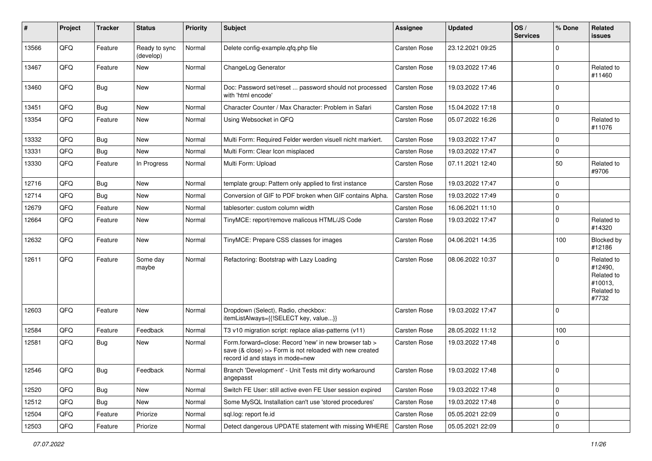| #     | Project | <b>Tracker</b> | <b>Status</b>              | <b>Priority</b> | <b>Subject</b>                                                                                                                                      | Assignee            | <b>Updated</b>   | OS/<br><b>Services</b> | % Done      | Related<br>issues                                                     |
|-------|---------|----------------|----------------------------|-----------------|-----------------------------------------------------------------------------------------------------------------------------------------------------|---------------------|------------------|------------------------|-------------|-----------------------------------------------------------------------|
| 13566 | QFQ     | Feature        | Ready to sync<br>(develop) | Normal          | Delete config-example.qfq.php file                                                                                                                  | Carsten Rose        | 23.12.2021 09:25 |                        | $\Omega$    |                                                                       |
| 13467 | QFQ     | Feature        | New                        | Normal          | ChangeLog Generator                                                                                                                                 | Carsten Rose        | 19.03.2022 17:46 |                        | $\Omega$    | Related to<br>#11460                                                  |
| 13460 | QFQ     | <b>Bug</b>     | New                        | Normal          | Doc: Password set/reset  password should not processed<br>with 'html encode'                                                                        | <b>Carsten Rose</b> | 19.03.2022 17:46 |                        | $\Omega$    |                                                                       |
| 13451 | QFQ     | <b>Bug</b>     | <b>New</b>                 | Normal          | Character Counter / Max Character: Problem in Safari                                                                                                | Carsten Rose        | 15.04.2022 17:18 |                        | 0           |                                                                       |
| 13354 | QFQ     | Feature        | New                        | Normal          | Using Websocket in QFQ                                                                                                                              | Carsten Rose        | 05.07.2022 16:26 |                        | $\Omega$    | Related to<br>#11076                                                  |
| 13332 | QFQ     | <b>Bug</b>     | New                        | Normal          | Multi Form: Required Felder werden visuell nicht markiert.                                                                                          | Carsten Rose        | 19.03.2022 17:47 |                        | $\mathbf 0$ |                                                                       |
| 13331 | QFQ     | <b>Bug</b>     | New                        | Normal          | Multi Form: Clear Icon misplaced                                                                                                                    | Carsten Rose        | 19.03.2022 17:47 |                        | 0           |                                                                       |
| 13330 | QFQ     | Feature        | In Progress                | Normal          | Multi Form: Upload                                                                                                                                  | Carsten Rose        | 07.11.2021 12:40 |                        | 50          | Related to<br>#9706                                                   |
| 12716 | QFQ     | <b>Bug</b>     | New                        | Normal          | template group: Pattern only applied to first instance                                                                                              | Carsten Rose        | 19.03.2022 17:47 |                        | $\Omega$    |                                                                       |
| 12714 | QFQ     | <b>Bug</b>     | <b>New</b>                 | Normal          | Conversion of GIF to PDF broken when GIF contains Alpha.                                                                                            | <b>Carsten Rose</b> | 19.03.2022 17:49 |                        | 0           |                                                                       |
| 12679 | QFG     | Feature        | New                        | Normal          | tablesorter: custom column width                                                                                                                    | Carsten Rose        | 16.06.2021 11:10 |                        | $\mathbf 0$ |                                                                       |
| 12664 | QFQ     | Feature        | New                        | Normal          | TinyMCE: report/remove malicous HTML/JS Code                                                                                                        | <b>Carsten Rose</b> | 19.03.2022 17:47 |                        | $\Omega$    | Related to<br>#14320                                                  |
| 12632 | QFQ     | Feature        | <b>New</b>                 | Normal          | TinyMCE: Prepare CSS classes for images                                                                                                             | Carsten Rose        | 04.06.2021 14:35 |                        | 100         | Blocked by<br>#12186                                                  |
| 12611 | QFQ     | Feature        | Some day<br>maybe          | Normal          | Refactoring: Bootstrap with Lazy Loading                                                                                                            | <b>Carsten Rose</b> | 08.06.2022 10:37 |                        | $\Omega$    | Related to<br>#12490,<br>Related to<br>#10013,<br>Related to<br>#7732 |
| 12603 | QFQ     | Feature        | New                        | Normal          | Dropdown (Select), Radio, checkbox:<br>itemListAlways={{!SELECT key, value}}                                                                        | <b>Carsten Rose</b> | 19.03.2022 17:47 |                        | $\Omega$    |                                                                       |
| 12584 | QFQ     | Feature        | Feedback                   | Normal          | T3 v10 migration script: replace alias-patterns (v11)                                                                                               | Carsten Rose        | 28.05.2022 11:12 |                        | 100         |                                                                       |
| 12581 | QFQ     | <b>Bug</b>     | New                        | Normal          | Form.forward=close: Record 'new' in new browser tab ><br>save (& close) >> Form is not reloaded with new created<br>record id and stays in mode=new | <b>Carsten Rose</b> | 19.03.2022 17:48 |                        | 0           |                                                                       |
| 12546 | QFQ     | <b>Bug</b>     | Feedback                   | Normal          | Branch 'Development' - Unit Tests mit dirty workaround<br>angepasst                                                                                 | Carsten Rose        | 19.03.2022 17:48 |                        | ΙO          |                                                                       |
| 12520 | QFQ     | Bug            | New                        | Normal          | Switch FE User: still active even FE User session expired                                                                                           | Carsten Rose        | 19.03.2022 17:48 |                        | $\mathbf 0$ |                                                                       |
| 12512 | QFQ     | Bug            | New                        | Normal          | Some MySQL Installation can't use 'stored procedures'                                                                                               | Carsten Rose        | 19.03.2022 17:48 |                        | 0           |                                                                       |
| 12504 | QFQ     | Feature        | Priorize                   | Normal          | sgl.log: report fe.id                                                                                                                               | Carsten Rose        | 05.05.2021 22:09 |                        | 0           |                                                                       |
| 12503 | QFQ     | Feature        | Priorize                   | Normal          | Detect dangerous UPDATE statement with missing WHERE                                                                                                | Carsten Rose        | 05.05.2021 22:09 |                        | 0           |                                                                       |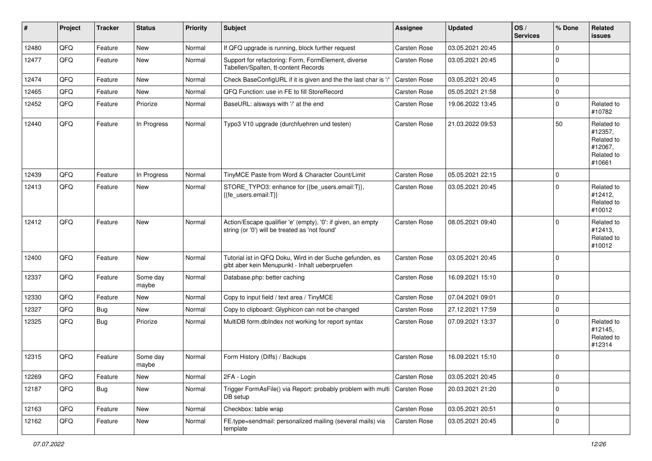| #     | Project | <b>Tracker</b> | <b>Status</b>     | <b>Priority</b> | Subject                                                                                                        | <b>Assignee</b>     | <b>Updated</b>   | OS/<br><b>Services</b> | % Done      | Related<br>issues                                                      |
|-------|---------|----------------|-------------------|-----------------|----------------------------------------------------------------------------------------------------------------|---------------------|------------------|------------------------|-------------|------------------------------------------------------------------------|
| 12480 | QFQ     | Feature        | New               | Normal          | If QFQ upgrade is running, block further request                                                               | Carsten Rose        | 03.05.2021 20:45 |                        | $\mathbf 0$ |                                                                        |
| 12477 | QFQ     | Feature        | New               | Normal          | Support for refactoring: Form, FormElement, diverse<br>Tabellen/Spalten, tt-content Records                    | Carsten Rose        | 03.05.2021 20:45 |                        | $\mathbf 0$ |                                                                        |
| 12474 | QFQ     | Feature        | <b>New</b>        | Normal          | Check BaseConfigURL if it is given and the the last char is '/                                                 | Carsten Rose        | 03.05.2021 20:45 |                        | $\mathbf 0$ |                                                                        |
| 12465 | QFQ     | Feature        | New               | Normal          | QFQ Function: use in FE to fill StoreRecord                                                                    | Carsten Rose        | 05.05.2021 21:58 |                        | $\mathbf 0$ |                                                                        |
| 12452 | QFQ     | Feature        | Priorize          | Normal          | BaseURL: alsways with '/' at the end                                                                           | Carsten Rose        | 19.06.2022 13:45 |                        | $\mathbf 0$ | Related to<br>#10782                                                   |
| 12440 | QFQ     | Feature        | In Progress       | Normal          | Typo3 V10 upgrade (durchfuehren und testen)                                                                    | Carsten Rose        | 21.03.2022 09:53 |                        | 50          | Related to<br>#12357,<br>Related to<br>#12067,<br>Related to<br>#10661 |
| 12439 | QFQ     | Feature        | In Progress       | Normal          | TinyMCE Paste from Word & Character Count/Limit                                                                | Carsten Rose        | 05.05.2021 22:15 |                        | $\Omega$    |                                                                        |
| 12413 | QFQ     | Feature        | New               | Normal          | STORE_TYPO3: enhance for {{be_users.email:T}},<br>{{fe users.email:T}}                                         | <b>Carsten Rose</b> | 03.05.2021 20:45 |                        | $\Omega$    | Related to<br>#12412,<br>Related to<br>#10012                          |
| 12412 | QFQ     | Feature        | <b>New</b>        | Normal          | Action/Escape qualifier 'e' (empty), '0': if given, an empty<br>string (or '0') will be treated as 'not found' | Carsten Rose        | 08.05.2021 09:40 |                        | $\Omega$    | Related to<br>#12413,<br>Related to<br>#10012                          |
| 12400 | QFQ     | Feature        | New               | Normal          | Tutorial ist in QFQ Doku, Wird in der Suche gefunden, es<br>gibt aber kein Menupunkt - Inhalt ueberpruefen     | Carsten Rose        | 03.05.2021 20:45 |                        | $\mathbf 0$ |                                                                        |
| 12337 | QFQ     | Feature        | Some day<br>maybe | Normal          | Database.php: better caching                                                                                   | Carsten Rose        | 16.09.2021 15:10 |                        | $\Omega$    |                                                                        |
| 12330 | QFQ     | Feature        | New               | Normal          | Copy to input field / text area / TinyMCE                                                                      | Carsten Rose        | 07.04.2021 09:01 |                        | $\mathbf 0$ |                                                                        |
| 12327 | QFQ     | <b>Bug</b>     | New               | Normal          | Copy to clipboard: Glyphicon can not be changed                                                                | Carsten Rose        | 27.12.2021 17:59 |                        | $\mathbf 0$ |                                                                        |
| 12325 | QFQ     | <b>Bug</b>     | Priorize          | Normal          | MultiDB form.dblndex not working for report syntax                                                             | Carsten Rose        | 07.09.2021 13:37 |                        | $\Omega$    | Related to<br>#12145,<br>Related to<br>#12314                          |
| 12315 | QFQ     | Feature        | Some day<br>maybe | Normal          | Form History (Diffs) / Backups                                                                                 | <b>Carsten Rose</b> | 16.09.2021 15:10 |                        | $\mathbf 0$ |                                                                        |
| 12269 | QFQ     | Feature        | New               | Normal          | 2FA - Login                                                                                                    | Carsten Rose        | 03.05.2021 20:45 |                        | $\mathbf 0$ |                                                                        |
| 12187 | QFQ     | <b>Bug</b>     | New               | Normal          | Trigger FormAsFile() via Report: probably problem with multi<br>DB setup                                       | Carsten Rose        | 20.03.2021 21:20 |                        | $\mathbf 0$ |                                                                        |
| 12163 | QFQ     | Feature        | New               | Normal          | Checkbox: table wrap                                                                                           | Carsten Rose        | 03.05.2021 20:51 |                        | $\mathbf 0$ |                                                                        |
| 12162 | QFQ     | Feature        | New               | Normal          | FE.type=sendmail: personalized mailing (several mails) via<br>template                                         | Carsten Rose        | 03.05.2021 20:45 |                        | $\mathbf 0$ |                                                                        |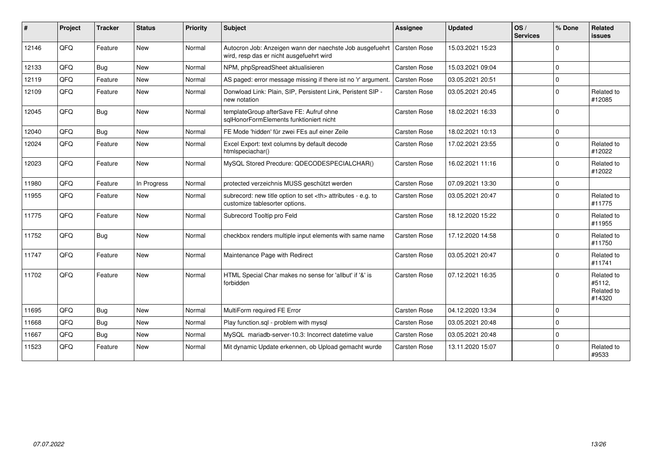| $\vert$ # | Project | <b>Tracker</b> | <b>Status</b> | <b>Priority</b> | <b>Subject</b>                                                                                       | <b>Assignee</b>                                        | <b>Updated</b>   | OS/<br><b>Services</b> | % Done         | Related<br><b>issues</b>                     |                      |
|-----------|---------|----------------|---------------|-----------------|------------------------------------------------------------------------------------------------------|--------------------------------------------------------|------------------|------------------------|----------------|----------------------------------------------|----------------------|
| 12146     | QFQ     | Feature        | New           | Normal          | Autocron Job: Anzeigen wann der naechste Job ausgefuehrt<br>wird, resp das er nicht ausgefuehrt wird | <b>Carsten Rose</b>                                    | 15.03.2021 15:23 |                        | $\Omega$       |                                              |                      |
| 12133     | QFQ     | Bug            | <b>New</b>    | Normal          | NPM, phpSpreadSheet aktualisieren                                                                    | <b>Carsten Rose</b>                                    | 15.03.2021 09:04 |                        | $\Omega$       |                                              |                      |
| 12119     | QFQ     | Feature        | New           | Normal          | AS paged: error message missing if there ist no 'r' argument.                                        | Carsten Rose                                           | 03.05.2021 20:51 |                        | $\Omega$       |                                              |                      |
| 12109     | QFQ     | Feature        | New           | Normal          | Donwload Link: Plain, SIP, Persistent Link, Peristent SIP -<br>new notation                          | Carsten Rose                                           | 03.05.2021 20:45 |                        | $\Omega$       | Related to<br>#12085                         |                      |
| 12045     | QFQ     | Bug            | <b>New</b>    | Normal          | templateGroup afterSave FE: Aufruf ohne<br>sqlHonorFormElements funktioniert nicht                   | Carsten Rose                                           | 18.02.2021 16:33 |                        | $\overline{0}$ |                                              |                      |
| 12040     | QFQ     | Bug            | <b>New</b>    | Normal          | FE Mode 'hidden' für zwei FEs auf einer Zeile                                                        | <b>Carsten Rose</b>                                    | 18.02.2021 10:13 |                        | $\mathbf 0$    |                                              |                      |
| 12024     | QFQ     | Feature        | New           | Normal          | Excel Export: text columns by default decode<br>htmlspeciachar()                                     | Carsten Rose                                           | 17.02.2021 23:55 |                        | $\Omega$       | Related to<br>#12022                         |                      |
| 12023     | QFQ     | Feature        | <b>New</b>    | Normal          | MySQL Stored Precdure: QDECODESPECIALCHAR()                                                          | Carsten Rose                                           | 16.02.2021 11:16 |                        | $\Omega$       | Related to<br>#12022                         |                      |
| 11980     | QFQ     | Feature        | In Progress   | Normal          | protected verzeichnis MUSS geschützt werden                                                          | <b>Carsten Rose</b>                                    | 07.09.2021 13:30 |                        | $\Omega$       |                                              |                      |
| 11955     | QFQ     | Feature        | New           | Normal          | subrecord: new title option to set <th> attributes - e.g. to<br/>customize tablesorter options.</th> | attributes - e.g. to<br>customize tablesorter options. | Carsten Rose     | 03.05.2021 20:47       |                | $\Omega$                                     | Related to<br>#11775 |
| 11775     | QFQ     | Feature        | <b>New</b>    | Normal          | Subrecord Tooltip pro Feld                                                                           | <b>Carsten Rose</b>                                    | 18.12.2020 15:22 |                        | $\Omega$       | Related to<br>#11955                         |                      |
| 11752     | QFQ     | <b>Bug</b>     | <b>New</b>    | Normal          | checkbox renders multiple input elements with same name                                              | <b>Carsten Rose</b>                                    | 17.12.2020 14:58 |                        | $\Omega$       | Related to<br>#11750                         |                      |
| 11747     | QFQ     | Feature        | New           | Normal          | Maintenance Page with Redirect                                                                       | Carsten Rose                                           | 03.05.2021 20:47 |                        | $\Omega$       | Related to<br>#11741                         |                      |
| 11702     | QFQ     | Feature        | <b>New</b>    | Normal          | HTML Special Char makes no sense for 'allbut' if '&' is<br>forbidden                                 | <b>Carsten Rose</b>                                    | 07.12.2021 16:35 |                        | $\Omega$       | Related to<br>#5112,<br>Related to<br>#14320 |                      |
| 11695     | QFQ     | <b>Bug</b>     | <b>New</b>    | Normal          | MultiForm required FE Error                                                                          | Carsten Rose                                           | 04.12.2020 13:34 |                        | $\Omega$       |                                              |                      |
| 11668     | QFQ     | <b>Bug</b>     | <b>New</b>    | Normal          | Play function.sql - problem with mysql                                                               | <b>Carsten Rose</b>                                    | 03.05.2021 20:48 |                        | $\Omega$       |                                              |                      |
| 11667     | QFQ     | <b>Bug</b>     | New           | Normal          | MySQL mariadb-server-10.3: Incorrect datetime value                                                  | Carsten Rose                                           | 03.05.2021 20:48 |                        | $\Omega$       |                                              |                      |
| 11523     | QFQ     | Feature        | <b>New</b>    | Normal          | Mit dynamic Update erkennen, ob Upload gemacht wurde                                                 | Carsten Rose                                           | 13.11.2020 15:07 |                        | $\Omega$       | Related to<br>#9533                          |                      |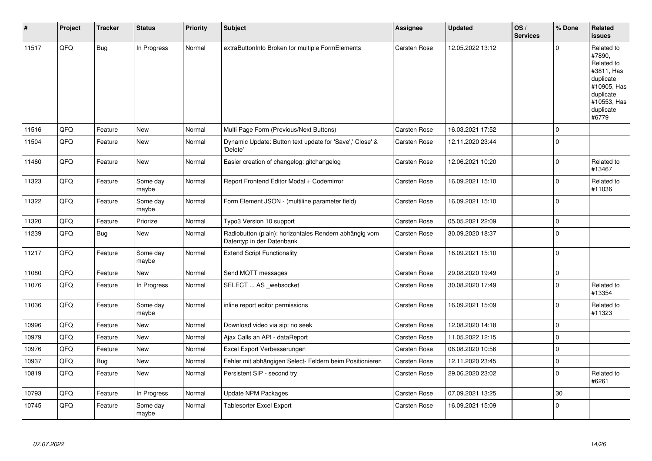| #     | Project | <b>Tracker</b> | <b>Status</b>     | <b>Priority</b> | <b>Subject</b>                                                                      | Assignee            | <b>Updated</b>   | OS/<br><b>Services</b> | % Done      | Related<br>issues                                                                                                              |
|-------|---------|----------------|-------------------|-----------------|-------------------------------------------------------------------------------------|---------------------|------------------|------------------------|-------------|--------------------------------------------------------------------------------------------------------------------------------|
| 11517 | QFQ     | <b>Bug</b>     | In Progress       | Normal          | extraButtonInfo Broken for multiple FormElements                                    | <b>Carsten Rose</b> | 12.05.2022 13:12 |                        | $\Omega$    | Related to<br>#7890,<br>Related to<br>#3811, Has<br>duplicate<br>#10905, Has<br>duplicate<br>#10553, Has<br>duplicate<br>#6779 |
| 11516 | QFQ     | Feature        | <b>New</b>        | Normal          | Multi Page Form (Previous/Next Buttons)                                             | <b>Carsten Rose</b> | 16.03.2021 17:52 |                        | $\Omega$    |                                                                                                                                |
| 11504 | QFQ     | Feature        | <b>New</b>        | Normal          | Dynamic Update: Button text update for 'Save',' Close' &<br>'Delete'                | <b>Carsten Rose</b> | 12.11.2020 23:44 |                        | $\Omega$    |                                                                                                                                |
| 11460 | QFQ     | Feature        | New               | Normal          | Easier creation of changelog: gitchangelog                                          | Carsten Rose        | 12.06.2021 10:20 |                        | $\mathbf 0$ | Related to<br>#13467                                                                                                           |
| 11323 | QFQ     | Feature        | Some day<br>maybe | Normal          | Report Frontend Editor Modal + Codemirror                                           | <b>Carsten Rose</b> | 16.09.2021 15:10 |                        | $\Omega$    | Related to<br>#11036                                                                                                           |
| 11322 | QFQ     | Feature        | Some day<br>maybe | Normal          | Form Element JSON - (multiline parameter field)                                     | <b>Carsten Rose</b> | 16.09.2021 15:10 |                        | $\mathbf 0$ |                                                                                                                                |
| 11320 | QFQ     | Feature        | Priorize          | Normal          | Typo3 Version 10 support                                                            | <b>Carsten Rose</b> | 05.05.2021 22:09 |                        | $\mathbf 0$ |                                                                                                                                |
| 11239 | QFQ     | <b>Bug</b>     | <b>New</b>        | Normal          | Radiobutton (plain): horizontales Rendern abhängig vom<br>Datentyp in der Datenbank | Carsten Rose        | 30.09.2020 18:37 |                        | $\mathbf 0$ |                                                                                                                                |
| 11217 | QFQ     | Feature        | Some day<br>maybe | Normal          | <b>Extend Script Functionality</b>                                                  | <b>Carsten Rose</b> | 16.09.2021 15:10 |                        | $\mathbf 0$ |                                                                                                                                |
| 11080 | QFQ     | Feature        | <b>New</b>        | Normal          | Send MQTT messages                                                                  | <b>Carsten Rose</b> | 29.08.2020 19:49 |                        | $\mathbf 0$ |                                                                                                                                |
| 11076 | QFQ     | Feature        | In Progress       | Normal          | SELECT  AS _websocket                                                               | Carsten Rose        | 30.08.2020 17:49 |                        | $\Omega$    | Related to<br>#13354                                                                                                           |
| 11036 | QFQ     | Feature        | Some day<br>maybe | Normal          | inline report editor permissions                                                    | <b>Carsten Rose</b> | 16.09.2021 15:09 |                        | $\Omega$    | Related to<br>#11323                                                                                                           |
| 10996 | QFQ     | Feature        | <b>New</b>        | Normal          | Download video via sip: no seek                                                     | Carsten Rose        | 12.08.2020 14:18 |                        | $\mathbf 0$ |                                                                                                                                |
| 10979 | QFQ     | Feature        | <b>New</b>        | Normal          | Ajax Calls an API - dataReport                                                      | <b>Carsten Rose</b> | 11.05.2022 12:15 |                        | $\mathbf 0$ |                                                                                                                                |
| 10976 | QFQ     | Feature        | <b>New</b>        | Normal          | Excel Export Verbesserungen                                                         | <b>Carsten Rose</b> | 06.08.2020 10:56 |                        | $\Omega$    |                                                                                                                                |
| 10937 | QFQ     | Bug            | <b>New</b>        | Normal          | Fehler mit abhängigen Select- Feldern beim Positionieren                            | Carsten Rose        | 12.11.2020 23:45 |                        | $\mathbf 0$ |                                                                                                                                |
| 10819 | QFQ     | Feature        | <b>New</b>        | Normal          | Persistent SIP - second try                                                         | <b>Carsten Rose</b> | 29.06.2020 23:02 |                        | $\Omega$    | Related to<br>#6261                                                                                                            |
| 10793 | QFQ     | Feature        | In Progress       | Normal          | Update NPM Packages                                                                 | Carsten Rose        | 07.09.2021 13:25 |                        | 30          |                                                                                                                                |
| 10745 | QFQ     | Feature        | Some day<br>maybe | Normal          | Tablesorter Excel Export                                                            | <b>Carsten Rose</b> | 16.09.2021 15:09 |                        | $\Omega$    |                                                                                                                                |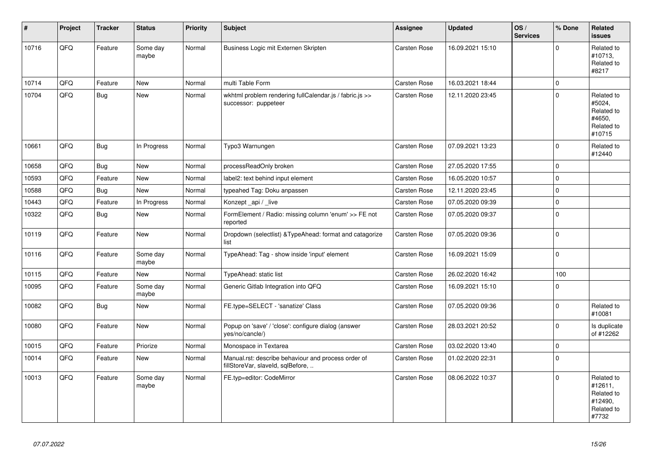| #     | Project | <b>Tracker</b> | <b>Status</b>     | <b>Priority</b> | <b>Subject</b>                                                                           | Assignee            | <b>Updated</b>   | OS/<br><b>Services</b> | % Done      | Related<br><b>issues</b>                                              |
|-------|---------|----------------|-------------------|-----------------|------------------------------------------------------------------------------------------|---------------------|------------------|------------------------|-------------|-----------------------------------------------------------------------|
| 10716 | QFQ     | Feature        | Some day<br>maybe | Normal          | Business Logic mit Externen Skripten                                                     | Carsten Rose        | 16.09.2021 15:10 |                        | $\Omega$    | Related to<br>#10713,<br>Related to<br>#8217                          |
| 10714 | QFQ     | Feature        | New               | Normal          | multi Table Form                                                                         | Carsten Rose        | 16.03.2021 18:44 |                        | $\mathbf 0$ |                                                                       |
| 10704 | QFQ     | <b>Bug</b>     | New               | Normal          | wkhtml problem rendering fullCalendar.js / fabric.js >><br>successor: puppeteer          | <b>Carsten Rose</b> | 12.11.2020 23:45 |                        | $\Omega$    | Related to<br>#5024,<br>Related to<br>#4650,<br>Related to<br>#10715  |
| 10661 | QFQ     | <b>Bug</b>     | In Progress       | Normal          | Typo3 Warnungen                                                                          | Carsten Rose        | 07.09.2021 13:23 |                        | $\Omega$    | Related to<br>#12440                                                  |
| 10658 | QFQ     | <b>Bug</b>     | <b>New</b>        | Normal          | processReadOnly broken                                                                   | Carsten Rose        | 27.05.2020 17:55 |                        | $\mathbf 0$ |                                                                       |
| 10593 | QFQ     | Feature        | New               | Normal          | label2: text behind input element                                                        | Carsten Rose        | 16.05.2020 10:57 |                        | $\mathbf 0$ |                                                                       |
| 10588 | QFQ     | <b>Bug</b>     | <b>New</b>        | Normal          | typeahed Tag: Doku anpassen                                                              | Carsten Rose        | 12.11.2020 23:45 |                        | $\mathbf 0$ |                                                                       |
| 10443 | QFQ     | Feature        | In Progress       | Normal          | Konzept_api / _live                                                                      | Carsten Rose        | 07.05.2020 09:39 |                        | $\pmb{0}$   |                                                                       |
| 10322 | QFQ     | <b>Bug</b>     | <b>New</b>        | Normal          | FormElement / Radio: missing column 'enum' >> FE not<br>reported                         | Carsten Rose        | 07.05.2020 09:37 |                        | $\mathbf 0$ |                                                                       |
| 10119 | QFQ     | Feature        | New               | Normal          | Dropdown (selectlist) & TypeAhead: format and catagorize<br>list                         | Carsten Rose        | 07.05.2020 09:36 |                        | $\mathbf 0$ |                                                                       |
| 10116 | QFQ     | Feature        | Some day<br>maybe | Normal          | TypeAhead: Tag - show inside 'input' element                                             | Carsten Rose        | 16.09.2021 15:09 |                        | $\mathbf 0$ |                                                                       |
| 10115 | QFQ     | Feature        | <b>New</b>        | Normal          | TypeAhead: static list                                                                   | Carsten Rose        | 26.02.2020 16:42 |                        | 100         |                                                                       |
| 10095 | QFQ     | Feature        | Some day<br>maybe | Normal          | Generic Gitlab Integration into QFQ                                                      | Carsten Rose        | 16.09.2021 15:10 |                        | $\mathbf 0$ |                                                                       |
| 10082 | QFQ     | <b>Bug</b>     | New               | Normal          | FE.type=SELECT - 'sanatize' Class                                                        | Carsten Rose        | 07.05.2020 09:36 |                        | $\Omega$    | Related to<br>#10081                                                  |
| 10080 | QFQ     | Feature        | New               | Normal          | Popup on 'save' / 'close': configure dialog (answer<br>yes/no/cancle/)                   | <b>Carsten Rose</b> | 28.03.2021 20:52 |                        | $\mathbf 0$ | Is duplicate<br>of #12262                                             |
| 10015 | QFQ     | Feature        | Priorize          | Normal          | Monospace in Textarea                                                                    | Carsten Rose        | 03.02.2020 13:40 |                        | $\mathbf 0$ |                                                                       |
| 10014 | QFQ     | Feature        | <b>New</b>        | Normal          | Manual.rst: describe behaviour and process order of<br>fillStoreVar, slaveId, sqlBefore, | Carsten Rose        | 01.02.2020 22:31 |                        | $\Omega$    |                                                                       |
| 10013 | QFQ     | Feature        | Some day<br>maybe | Normal          | FE.typ=editor: CodeMirror                                                                | Carsten Rose        | 08.06.2022 10:37 |                        | $\Omega$    | Related to<br>#12611,<br>Related to<br>#12490,<br>Related to<br>#7732 |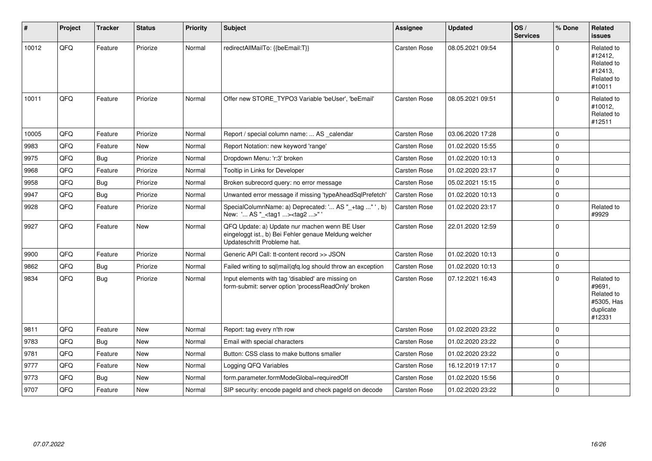| ∦     | Project | <b>Tracker</b> | <b>Status</b> | <b>Priority</b> | Subject                                                                                                                               | Assignee            | <b>Updated</b>   | OS/<br><b>Services</b> | % Done      | Related<br><b>issues</b>                                                |
|-------|---------|----------------|---------------|-----------------|---------------------------------------------------------------------------------------------------------------------------------------|---------------------|------------------|------------------------|-------------|-------------------------------------------------------------------------|
| 10012 | QFQ     | Feature        | Priorize      | Normal          | redirectAllMailTo: {{beEmail:T}}                                                                                                      | <b>Carsten Rose</b> | 08.05.2021 09:54 |                        | $\Omega$    | Related to<br>#12412,<br>Related to<br>#12413.<br>Related to<br>#10011  |
| 10011 | QFQ     | Feature        | Priorize      | Normal          | Offer new STORE_TYPO3 Variable 'beUser', 'beEmail'                                                                                    | <b>Carsten Rose</b> | 08.05.2021 09:51 |                        | $\Omega$    | Related to<br>#10012,<br>Related to<br>#12511                           |
| 10005 | QFQ     | Feature        | Priorize      | Normal          | Report / special column name:  AS _calendar                                                                                           | <b>Carsten Rose</b> | 03.06.2020 17:28 |                        | $\mathbf 0$ |                                                                         |
| 9983  | QFQ     | Feature        | <b>New</b>    | Normal          | Report Notation: new keyword 'range'                                                                                                  | <b>Carsten Rose</b> | 01.02.2020 15:55 |                        | $\Omega$    |                                                                         |
| 9975  | QFQ     | <b>Bug</b>     | Priorize      | Normal          | Dropdown Menu: 'r:3' broken                                                                                                           | Carsten Rose        | 01.02.2020 10:13 |                        | $\Omega$    |                                                                         |
| 9968  | QFQ     | Feature        | Priorize      | Normal          | Tooltip in Links for Developer                                                                                                        | <b>Carsten Rose</b> | 01.02.2020 23:17 |                        | $\Omega$    |                                                                         |
| 9958  | QFQ     | Bug            | Priorize      | Normal          | Broken subrecord query: no error message                                                                                              | Carsten Rose        | 05.02.2021 15:15 |                        | $\mathbf 0$ |                                                                         |
| 9947  | QFQ     | <b>Bug</b>     | Priorize      | Normal          | Unwanted error message if missing 'typeAheadSqlPrefetch'                                                                              | Carsten Rose        | 01.02.2020 10:13 |                        | $\Omega$    |                                                                         |
| 9928  | QFQ     | Feature        | Priorize      | Normal          | SpecialColumnName: a) Deprecated: ' AS "_+tag " ', b)<br>New: ' AS "_ <tag1><tag2>"</tag2></tag1>                                     | Carsten Rose        | 01.02.2020 23:17 |                        | $\mathbf 0$ | Related to<br>#9929                                                     |
| 9927  | QFQ     | Feature        | New           | Normal          | QFQ Update: a) Update nur machen wenn BE User<br>eingeloggt ist., b) Bei Fehler genaue Meldung welcher<br>Updateschritt Probleme hat. | Carsten Rose        | 22.01.2020 12:59 |                        | $\mathbf 0$ |                                                                         |
| 9900  | QFQ     | Feature        | Priorize      | Normal          | Generic API Call: tt-content record >> JSON                                                                                           | Carsten Rose        | 01.02.2020 10:13 |                        | $\mathbf 0$ |                                                                         |
| 9862  | QFQ     | <b>Bug</b>     | Priorize      | Normal          | Failed writing to sql mail q fq. log should throw an exception                                                                        | <b>Carsten Rose</b> | 01.02.2020 10:13 |                        | $\mathbf 0$ |                                                                         |
| 9834  | QFQ     | Bug            | Priorize      | Normal          | Input elements with tag 'disabled' are missing on<br>form-submit: server option 'processReadOnly' broken                              | Carsten Rose        | 07.12.2021 16:43 |                        | $\Omega$    | Related to<br>#9691,<br>Related to<br>#5305, Has<br>duplicate<br>#12331 |
| 9811  | QFQ     | Feature        | New           | Normal          | Report: tag every n'th row                                                                                                            | <b>Carsten Rose</b> | 01.02.2020 23:22 |                        | $\mathbf 0$ |                                                                         |
| 9783  | QFQ     | <b>Bug</b>     | <b>New</b>    | Normal          | Email with special characters                                                                                                         | <b>Carsten Rose</b> | 01.02.2020 23:22 |                        | $\mathbf 0$ |                                                                         |
| 9781  | QFQ     | Feature        | New           | Normal          | Button: CSS class to make buttons smaller                                                                                             | Carsten Rose        | 01.02.2020 23:22 |                        | $\Omega$    |                                                                         |
| 9777  | QFQ     | Feature        | <b>New</b>    | Normal          | Logging QFQ Variables                                                                                                                 | <b>Carsten Rose</b> | 16.12.2019 17:17 |                        | $\mathbf 0$ |                                                                         |
| 9773  | QFQ     | Bug            | <b>New</b>    | Normal          | form.parameter.formModeGlobal=requiredOff                                                                                             | Carsten Rose        | 01.02.2020 15:56 |                        | $\Omega$    |                                                                         |
| 9707  | QFQ     | Feature        | <b>New</b>    | Normal          | SIP security: encode pageld and check pageld on decode                                                                                | Carsten Rose        | 01.02.2020 23:22 |                        | $\Omega$    |                                                                         |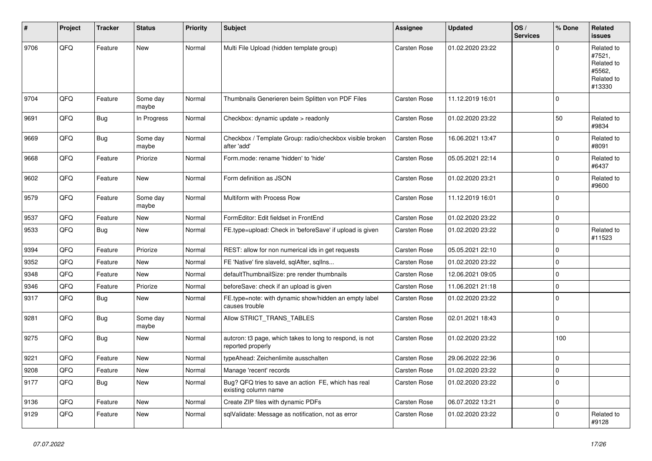| #    | Project | <b>Tracker</b> | <b>Status</b>     | <b>Priority</b> | <b>Subject</b>                                                                | Assignee            | <b>Updated</b>   | OS/<br><b>Services</b> | % Done      | Related<br><b>issues</b>                                             |
|------|---------|----------------|-------------------|-----------------|-------------------------------------------------------------------------------|---------------------|------------------|------------------------|-------------|----------------------------------------------------------------------|
| 9706 | QFQ     | Feature        | New               | Normal          | Multi File Upload (hidden template group)                                     | Carsten Rose        | 01.02.2020 23:22 |                        | $\Omega$    | Related to<br>#7521,<br>Related to<br>#5562,<br>Related to<br>#13330 |
| 9704 | QFQ     | Feature        | Some day<br>maybe | Normal          | Thumbnails Generieren beim Splitten von PDF Files                             | Carsten Rose        | 11.12.2019 16:01 |                        | $\Omega$    |                                                                      |
| 9691 | QFQ     | Bug            | In Progress       | Normal          | Checkbox: dynamic update > readonly                                           | Carsten Rose        | 01.02.2020 23:22 |                        | 50          | Related to<br>#9834                                                  |
| 9669 | QFQ     | <b>Bug</b>     | Some day<br>maybe | Normal          | Checkbox / Template Group: radio/checkbox visible broken<br>after 'add'       | <b>Carsten Rose</b> | 16.06.2021 13:47 |                        | $\mathbf 0$ | Related to<br>#8091                                                  |
| 9668 | QFQ     | Feature        | Priorize          | Normal          | Form.mode: rename 'hidden' to 'hide'                                          | Carsten Rose        | 05.05.2021 22:14 |                        | $\Omega$    | Related to<br>#6437                                                  |
| 9602 | QFQ     | Feature        | New               | Normal          | Form definition as JSON                                                       | Carsten Rose        | 01.02.2020 23:21 |                        | $\mathbf 0$ | Related to<br>#9600                                                  |
| 9579 | QFQ     | Feature        | Some day<br>maybe | Normal          | Multiform with Process Row                                                    | <b>Carsten Rose</b> | 11.12.2019 16:01 |                        | $\mathbf 0$ |                                                                      |
| 9537 | QFQ     | Feature        | <b>New</b>        | Normal          | FormEditor: Edit fieldset in FrontEnd                                         | Carsten Rose        | 01.02.2020 23:22 |                        | $\mathbf 0$ |                                                                      |
| 9533 | QFQ     | <b>Bug</b>     | New               | Normal          | FE.type=upload: Check in 'beforeSave' if upload is given                      | Carsten Rose        | 01.02.2020 23:22 |                        | $\mathbf 0$ | Related to<br>#11523                                                 |
| 9394 | QFQ     | Feature        | Priorize          | Normal          | REST: allow for non numerical ids in get requests                             | Carsten Rose        | 05.05.2021 22:10 |                        | $\Omega$    |                                                                      |
| 9352 | QFQ     | Feature        | <b>New</b>        | Normal          | FE 'Native' fire slaveld, sqlAfter, sqlIns                                    | Carsten Rose        | 01.02.2020 23:22 |                        | $\mathbf 0$ |                                                                      |
| 9348 | QFQ     | Feature        | <b>New</b>        | Normal          | defaultThumbnailSize: pre render thumbnails                                   | Carsten Rose        | 12.06.2021 09:05 |                        | $\mathbf 0$ |                                                                      |
| 9346 | QFQ     | Feature        | Priorize          | Normal          | beforeSave: check if an upload is given                                       | Carsten Rose        | 11.06.2021 21:18 |                        | $\mathbf 0$ |                                                                      |
| 9317 | QFQ     | <b>Bug</b>     | <b>New</b>        | Normal          | FE.type=note: with dynamic show/hidden an empty label<br>causes trouble       | Carsten Rose        | 01.02.2020 23:22 |                        | $\Omega$    |                                                                      |
| 9281 | QFQ     | <b>Bug</b>     | Some day<br>maybe | Normal          | Allow STRICT TRANS TABLES                                                     | Carsten Rose        | 02.01.2021 18:43 |                        | $\mathbf 0$ |                                                                      |
| 9275 | QFQ     | Bug            | New               | Normal          | autcron: t3 page, which takes to long to respond, is not<br>reported properly | Carsten Rose        | 01.02.2020 23:22 |                        | 100         |                                                                      |
| 9221 | QFQ     | Feature        | <b>New</b>        | Normal          | typeAhead: Zeichenlimite ausschalten                                          | Carsten Rose        | 29.06.2022 22:36 |                        | $\pmb{0}$   |                                                                      |
| 9208 | QFQ     | Feature        | New               | Normal          | Manage 'recent' records                                                       | Carsten Rose        | 01.02.2020 23:22 |                        | $\mathbf 0$ |                                                                      |
| 9177 | QFQ     | <b>Bug</b>     | <b>New</b>        | Normal          | Bug? QFQ tries to save an action FE, which has real<br>existing column name   | Carsten Rose        | 01.02.2020 23:22 |                        | $\Omega$    |                                                                      |
| 9136 | QFQ     | Feature        | New               | Normal          | Create ZIP files with dynamic PDFs                                            | Carsten Rose        | 06.07.2022 13:21 |                        | $\mathbf 0$ |                                                                      |
| 9129 | QFQ     | Feature        | New               | Normal          | sqlValidate: Message as notification, not as error                            | Carsten Rose        | 01.02.2020 23:22 |                        | $\Omega$    | Related to<br>#9128                                                  |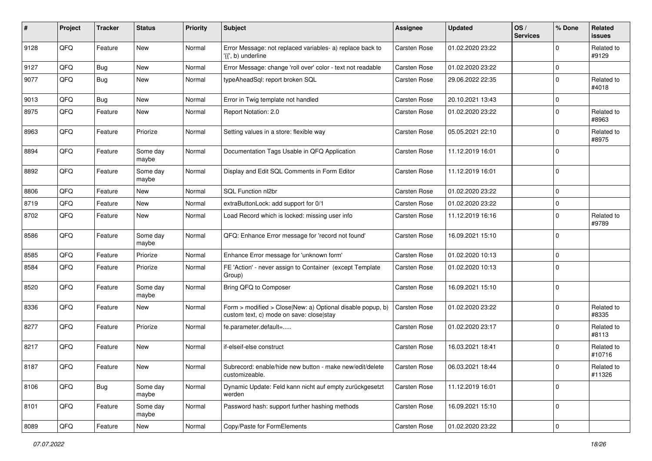| ∦    | Project | <b>Tracker</b> | <b>Status</b>     | <b>Priority</b> | Subject                                                                                                | Assignee            | <b>Updated</b>   | OS/<br><b>Services</b> | % Done      | Related<br><b>issues</b> |
|------|---------|----------------|-------------------|-----------------|--------------------------------------------------------------------------------------------------------|---------------------|------------------|------------------------|-------------|--------------------------|
| 9128 | QFQ     | Feature        | New               | Normal          | Error Message: not replaced variables- a) replace back to<br>'{{', b) underline                        | Carsten Rose        | 01.02.2020 23:22 |                        | $\Omega$    | Related to<br>#9129      |
| 9127 | QFQ     | <b>Bug</b>     | <b>New</b>        | Normal          | Error Message: change 'roll over' color - text not readable                                            | Carsten Rose        | 01.02.2020 23:22 |                        | $\mathbf 0$ |                          |
| 9077 | QFQ     | Bug            | New               | Normal          | typeAheadSql: report broken SQL                                                                        | Carsten Rose        | 29.06.2022 22:35 |                        | $\Omega$    | Related to<br>#4018      |
| 9013 | QFQ     | <b>Bug</b>     | <b>New</b>        | Normal          | Error in Twig template not handled                                                                     | Carsten Rose        | 20.10.2021 13:43 |                        | 0           |                          |
| 8975 | QFQ     | Feature        | New               | Normal          | Report Notation: 2.0                                                                                   | Carsten Rose        | 01.02.2020 23:22 |                        | $\mathbf 0$ | Related to<br>#8963      |
| 8963 | QFQ     | Feature        | Priorize          | Normal          | Setting values in a store: flexible way                                                                | Carsten Rose        | 05.05.2021 22:10 |                        | $\mathbf 0$ | Related to<br>#8975      |
| 8894 | QFQ     | Feature        | Some day<br>maybe | Normal          | Documentation Tags Usable in QFQ Application                                                           | Carsten Rose        | 11.12.2019 16:01 |                        | $\Omega$    |                          |
| 8892 | QFQ     | Feature        | Some day<br>maybe | Normal          | Display and Edit SQL Comments in Form Editor                                                           | Carsten Rose        | 11.12.2019 16:01 |                        | $\Omega$    |                          |
| 8806 | QFQ     | Feature        | <b>New</b>        | Normal          | SOL Function nl2br                                                                                     | Carsten Rose        | 01.02.2020 23:22 |                        | $\mathbf 0$ |                          |
| 8719 | QFQ     | Feature        | New               | Normal          | extraButtonLock: add support for 0/1                                                                   | Carsten Rose        | 01.02.2020 23:22 |                        | $\Omega$    |                          |
| 8702 | QFQ     | Feature        | New               | Normal          | Load Record which is locked: missing user info                                                         | Carsten Rose        | 11.12.2019 16:16 |                        | $\Omega$    | Related to<br>#9789      |
| 8586 | QFQ     | Feature        | Some day<br>maybe | Normal          | QFQ: Enhance Error message for 'record not found'                                                      | Carsten Rose        | 16.09.2021 15:10 |                        | $\Omega$    |                          |
| 8585 | QFQ     | Feature        | Priorize          | Normal          | Enhance Error message for 'unknown form'                                                               | Carsten Rose        | 01.02.2020 10:13 |                        | $\mathbf 0$ |                          |
| 8584 | QFQ     | Feature        | Priorize          | Normal          | FE 'Action' - never assign to Container (except Template<br>Group)                                     | Carsten Rose        | 01.02.2020 10:13 |                        | $\Omega$    |                          |
| 8520 | QFQ     | Feature        | Some day<br>maybe | Normal          | Bring QFQ to Composer                                                                                  | Carsten Rose        | 16.09.2021 15:10 |                        | $\Omega$    |                          |
| 8336 | QFQ     | Feature        | <b>New</b>        | Normal          | Form > modified > Close New: a) Optional disable popup, b)<br>custom text, c) mode on save: close stay | Carsten Rose        | 01.02.2020 23:22 |                        | $\mathbf 0$ | Related to<br>#8335      |
| 8277 | QFQ     | Feature        | Priorize          | Normal          | fe.parameter.default=                                                                                  | Carsten Rose        | 01.02.2020 23:17 |                        | $\Omega$    | Related to<br>#8113      |
| 8217 | QFQ     | Feature        | New               | Normal          | if-elseif-else construct                                                                               | Carsten Rose        | 16.03.2021 18:41 |                        | $\Omega$    | Related to<br>#10716     |
| 8187 | QFQ     | Feature        | New               | Normal          | Subrecord: enable/hide new button - make new/edit/delete<br>customizeable.                             | <b>Carsten Rose</b> | 06.03.2021 18:44 |                        | $\Omega$    | Related to<br>#11326     |
| 8106 | QFQ     | Bug            | Some day<br>maybe | Normal          | Dynamic Update: Feld kann nicht auf empty zurückgesetzt<br>werden                                      | Carsten Rose        | 11.12.2019 16:01 |                        | 0           |                          |
| 8101 | QFQ     | Feature        | Some day<br>maybe | Normal          | Password hash: support further hashing methods                                                         | Carsten Rose        | 16.09.2021 15:10 |                        | $\mathbf 0$ |                          |
| 8089 | QFG     | Feature        | New               | Normal          | Copy/Paste for FormElements                                                                            | Carsten Rose        | 01.02.2020 23:22 |                        | $\mathbf 0$ |                          |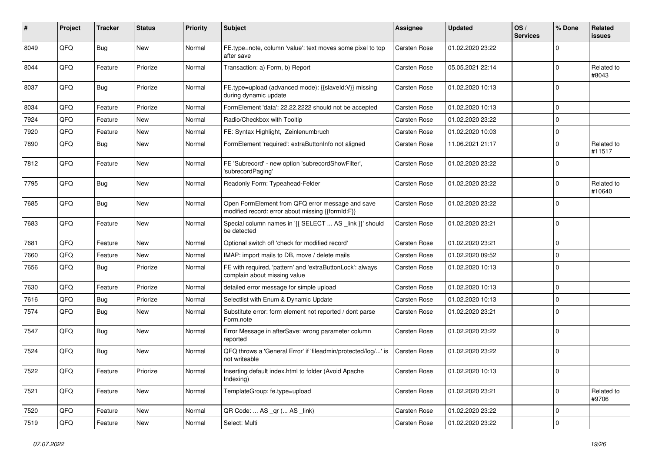| ∦    | Project | Tracker    | <b>Status</b> | <b>Priority</b> | Subject                                                                                               | Assignee            | <b>Updated</b>   | OS/<br><b>Services</b> | % Done      | Related<br>issues    |
|------|---------|------------|---------------|-----------------|-------------------------------------------------------------------------------------------------------|---------------------|------------------|------------------------|-------------|----------------------|
| 8049 | QFQ     | Bug        | New           | Normal          | FE.type=note, column 'value': text moves some pixel to top<br>after save                              | Carsten Rose        | 01.02.2020 23:22 |                        | $\Omega$    |                      |
| 8044 | QFQ     | Feature    | Priorize      | Normal          | Transaction: a) Form, b) Report                                                                       | Carsten Rose        | 05.05.2021 22:14 |                        | $\Omega$    | Related to<br>#8043  |
| 8037 | QFQ     | Bug        | Priorize      | Normal          | FE.type=upload (advanced mode): {{slaveld:V}} missing<br>during dynamic update                        | <b>Carsten Rose</b> | 01.02.2020 10:13 |                        | $\Omega$    |                      |
| 8034 | QFQ     | Feature    | Priorize      | Normal          | FormElement 'data': 22.22.2222 should not be accepted                                                 | Carsten Rose        | 01.02.2020 10:13 |                        | 0           |                      |
| 7924 | QFQ     | Feature    | New           | Normal          | Radio/Checkbox with Tooltip                                                                           | Carsten Rose        | 01.02.2020 23:22 |                        | $\Omega$    |                      |
| 7920 | QFQ     | Feature    | <b>New</b>    | Normal          | FE: Syntax Highlight, Zeinlenumbruch                                                                  | <b>Carsten Rose</b> | 01.02.2020 10:03 |                        | 0           |                      |
| 7890 | QFQ     | <b>Bug</b> | <b>New</b>    | Normal          | FormElement 'required': extraButtonInfo not aligned                                                   | <b>Carsten Rose</b> | 11.06.2021 21:17 |                        | $\Omega$    | Related to<br>#11517 |
| 7812 | QFQ     | Feature    | New           | Normal          | FE 'Subrecord' - new option 'subrecordShowFilter',<br>'subrecordPaging'                               | <b>Carsten Rose</b> | 01.02.2020 23:22 |                        | $\Omega$    |                      |
| 7795 | QFQ     | <b>Bug</b> | <b>New</b>    | Normal          | Readonly Form: Typeahead-Felder                                                                       | Carsten Rose        | 01.02.2020 23:22 |                        | $\Omega$    | Related to<br>#10640 |
| 7685 | QFQ     | Bug        | New           | Normal          | Open FormElement from QFQ error message and save<br>modified record: error about missing {{formId:F}} | <b>Carsten Rose</b> | 01.02.2020 23:22 |                        | $\Omega$    |                      |
| 7683 | QFQ     | Feature    | New           | Normal          | Special column names in '{{ SELECT  AS _link }}' should<br>be detected                                | <b>Carsten Rose</b> | 01.02.2020 23:21 |                        | 0           |                      |
| 7681 | QFQ     | Feature    | <b>New</b>    | Normal          | Optional switch off 'check for modified record'                                                       | Carsten Rose        | 01.02.2020 23:21 |                        | $\mathbf 0$ |                      |
| 7660 | QFQ     | Feature    | New           | Normal          | IMAP: import mails to DB, move / delete mails                                                         | Carsten Rose        | 01.02.2020 09:52 |                        | $\Omega$    |                      |
| 7656 | QFQ     | <b>Bug</b> | Priorize      | Normal          | FE with required, 'pattern' and 'extraButtonLock': always<br>complain about missing value             | Carsten Rose        | 01.02.2020 10:13 |                        | $\Omega$    |                      |
| 7630 | QFQ     | Feature    | Priorize      | Normal          | detailed error message for simple upload                                                              | <b>Carsten Rose</b> | 01.02.2020 10:13 |                        | $\Omega$    |                      |
| 7616 | QFQ     | <b>Bug</b> | Priorize      | Normal          | Selectlist with Enum & Dynamic Update                                                                 | Carsten Rose        | 01.02.2020 10:13 |                        | $\mathbf 0$ |                      |
| 7574 | QFQ     | <b>Bug</b> | New           | Normal          | Substitute error: form element not reported / dont parse<br>Form.note                                 | Carsten Rose        | 01.02.2020 23:21 |                        | $\Omega$    |                      |
| 7547 | QFQ     | Bug        | <b>New</b>    | Normal          | Error Message in afterSave: wrong parameter column<br>reported                                        | <b>Carsten Rose</b> | 01.02.2020 23:22 |                        | $\Omega$    |                      |
| 7524 | QFQ     | <b>Bug</b> | <b>New</b>    | Normal          | QFQ throws a 'General Error' if 'fileadmin/protected/log/' is<br>not writeable                        | <b>Carsten Rose</b> | 01.02.2020 23:22 |                        | $\Omega$    |                      |
| 7522 | QFQ     | Feature    | Priorize      | Normal          | Inserting default index.html to folder (Avoid Apache<br>Indexing)                                     | Carsten Rose        | 01.02.2020 10:13 |                        | 0           |                      |
| 7521 | QFG     | Feature    | New           | Normal          | TemplateGroup: fe.type=upload                                                                         | Carsten Rose        | 01.02.2020 23:21 |                        | $\mathbf 0$ | Related to<br>#9706  |
| 7520 | QFQ     | Feature    | New           | Normal          | QR Code:  AS _qr ( AS _link)                                                                          | Carsten Rose        | 01.02.2020 23:22 |                        | 0           |                      |
| 7519 | QFQ     | Feature    | New           | Normal          | Select: Multi                                                                                         | Carsten Rose        | 01.02.2020 23:22 |                        | $\mathbf 0$ |                      |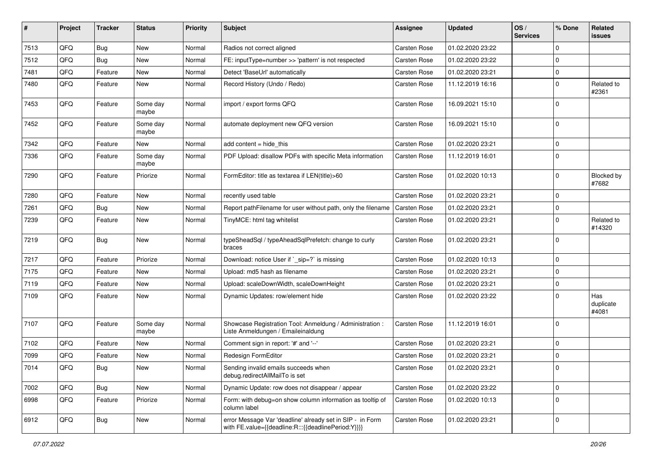| ∦    | Project | <b>Tracker</b> | <b>Status</b>     | <b>Priority</b> | Subject                                                                                                          | <b>Assignee</b>     | <b>Updated</b>   | OS/<br><b>Services</b> | % Done      | Related<br>issues         |
|------|---------|----------------|-------------------|-----------------|------------------------------------------------------------------------------------------------------------------|---------------------|------------------|------------------------|-------------|---------------------------|
| 7513 | QFQ     | Bug            | <b>New</b>        | Normal          | Radios not correct aligned                                                                                       | Carsten Rose        | 01.02.2020 23:22 |                        | $\Omega$    |                           |
| 7512 | QFQ     | Bug            | New               | Normal          | FE: inputType=number >> 'pattern' is not respected                                                               | Carsten Rose        | 01.02.2020 23:22 |                        | $\Omega$    |                           |
| 7481 | QFQ     | Feature        | <b>New</b>        | Normal          | Detect 'BaseUrl' automatically                                                                                   | <b>Carsten Rose</b> | 01.02.2020 23:21 |                        | 0           |                           |
| 7480 | QFQ     | Feature        | New               | Normal          | Record History (Undo / Redo)                                                                                     | Carsten Rose        | 11.12.2019 16:16 |                        | $\Omega$    | Related to<br>#2361       |
| 7453 | QFQ     | Feature        | Some day<br>maybe | Normal          | import / export forms QFQ                                                                                        | Carsten Rose        | 16.09.2021 15:10 |                        | $\Omega$    |                           |
| 7452 | QFQ     | Feature        | Some day<br>maybe | Normal          | automate deployment new QFQ version                                                                              | Carsten Rose        | 16.09.2021 15:10 |                        | $\Omega$    |                           |
| 7342 | QFQ     | Feature        | New               | Normal          | add content $=$ hide this                                                                                        | Carsten Rose        | 01.02.2020 23:21 |                        | $\mathbf 0$ |                           |
| 7336 | QFQ     | Feature        | Some day<br>maybe | Normal          | PDF Upload: disallow PDFs with specific Meta information                                                         | <b>Carsten Rose</b> | 11.12.2019 16:01 |                        | $\Omega$    |                           |
| 7290 | QFQ     | Feature        | Priorize          | Normal          | FormEditor: title as textarea if LEN(title)>60                                                                   | Carsten Rose        | 01.02.2020 10:13 |                        | $\Omega$    | Blocked by<br>#7682       |
| 7280 | QFQ     | Feature        | <b>New</b>        | Normal          | recently used table                                                                                              | Carsten Rose        | 01.02.2020 23:21 |                        | $\Omega$    |                           |
| 7261 | QFQ     | Bug            | New               | Normal          | Report pathFilename for user without path, only the filename                                                     | <b>Carsten Rose</b> | 01.02.2020 23:21 |                        | 0           |                           |
| 7239 | QFQ     | Feature        | <b>New</b>        | Normal          | TinyMCE: html tag whitelist                                                                                      | Carsten Rose        | 01.02.2020 23:21 |                        | $\Omega$    | Related to<br>#14320      |
| 7219 | QFQ     | <b>Bug</b>     | <b>New</b>        | Normal          | typeSheadSql / typeAheadSqlPrefetch: change to curly<br>braces                                                   | Carsten Rose        | 01.02.2020 23:21 |                        | $\Omega$    |                           |
| 7217 | QFQ     | Feature        | Priorize          | Normal          | Download: notice User if `_sip=?` is missing                                                                     | Carsten Rose        | 01.02.2020 10:13 |                        | $\Omega$    |                           |
| 7175 | QFQ     | Feature        | New               | Normal          | Upload: md5 hash as filename                                                                                     | <b>Carsten Rose</b> | 01.02.2020 23:21 |                        | $\mathbf 0$ |                           |
| 7119 | QFQ     | Feature        | New               | Normal          | Upload: scaleDownWidth, scaleDownHeight                                                                          | Carsten Rose        | 01.02.2020 23:21 |                        | $\Omega$    |                           |
| 7109 | QFQ     | Feature        | New               | Normal          | Dynamic Updates: row/element hide                                                                                | <b>Carsten Rose</b> | 01.02.2020 23:22 |                        | $\Omega$    | Has<br>duplicate<br>#4081 |
| 7107 | QFQ     | Feature        | Some day<br>maybe | Normal          | Showcase Registration Tool: Anmeldung / Administration :<br>Liste Anmeldungen / Emaileinaldung                   | Carsten Rose        | 11.12.2019 16:01 |                        | $\Omega$    |                           |
| 7102 | QFQ     | Feature        | New               | Normal          | Comment sign in report: '#' and '--'                                                                             | <b>Carsten Rose</b> | 01.02.2020 23:21 |                        | 0           |                           |
| 7099 | QFQ     | Feature        | New               | Normal          | Redesign FormEditor                                                                                              | Carsten Rose        | 01.02.2020 23:21 |                        | 0           |                           |
| 7014 | QFQ     | Bug            | New               | Normal          | Sending invalid emails succeeds when<br>debug.redirectAllMailTo is set                                           | Carsten Rose        | 01.02.2020 23:21 |                        | $\Omega$    |                           |
| 7002 | QFQ     | <b>Bug</b>     | New               | Normal          | Dynamic Update: row does not disappear / appear                                                                  | Carsten Rose        | 01.02.2020 23:22 |                        | 0           |                           |
| 6998 | QFQ     | Feature        | Priorize          | Normal          | Form: with debug=on show column information as tooltip of<br>column label                                        | Carsten Rose        | 01.02.2020 10:13 |                        | $\mathbf 0$ |                           |
| 6912 | QFQ     | <b>Bug</b>     | New               | Normal          | error Message Var 'deadline' already set in SIP - in Form<br>with FE.value={{deadline:R:::{{deadlinePeriod:Y}}}} | Carsten Rose        | 01.02.2020 23:21 |                        | 0           |                           |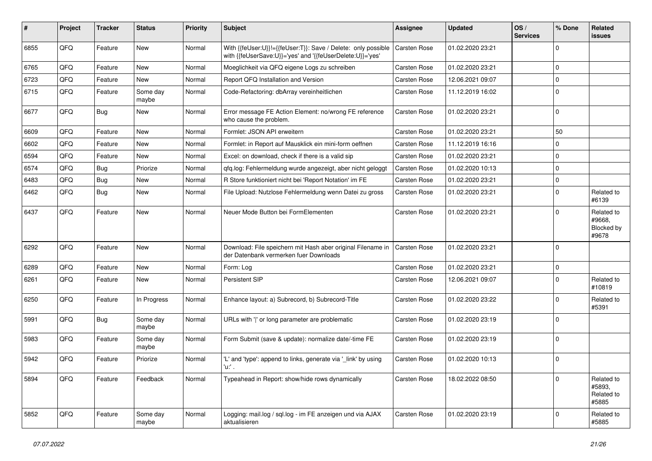| ∦    | Project | <b>Tracker</b> | <b>Status</b>     | Priority | <b>Subject</b>                                                                                                             | <b>Assignee</b>     | <b>Updated</b>   | OS/<br><b>Services</b> | % Done      | Related<br>issues                           |
|------|---------|----------------|-------------------|----------|----------------------------------------------------------------------------------------------------------------------------|---------------------|------------------|------------------------|-------------|---------------------------------------------|
| 6855 | QFQ     | Feature        | New               | Normal   | With {{feUser:U}}!={{feUser:T}}: Save / Delete: only possible<br>with {{feUserSave:U}}='yes' and '{{feUserDelete:U}}='yes' | <b>Carsten Rose</b> | 01.02.2020 23:21 |                        | $\Omega$    |                                             |
| 6765 | QFQ     | Feature        | <b>New</b>        | Normal   | Moeglichkeit via QFQ eigene Logs zu schreiben                                                                              | <b>Carsten Rose</b> | 01.02.2020 23:21 |                        | 0           |                                             |
| 6723 | QFQ     | Feature        | New               | Normal   | Report QFQ Installation and Version                                                                                        | Carsten Rose        | 12.06.2021 09:07 |                        | 0           |                                             |
| 6715 | QFQ     | Feature        | Some day<br>maybe | Normal   | Code-Refactoring: dbArray vereinheitlichen                                                                                 | <b>Carsten Rose</b> | 11.12.2019 16:02 |                        | $\Omega$    |                                             |
| 6677 | QFQ     | Bug            | New               | Normal   | Error message FE Action Element: no/wrong FE reference<br>who cause the problem.                                           | Carsten Rose        | 01.02.2020 23:21 |                        | $\mathbf 0$ |                                             |
| 6609 | QFQ     | Feature        | <b>New</b>        | Normal   | Formlet: JSON API erweitern                                                                                                | Carsten Rose        | 01.02.2020 23:21 |                        | 50          |                                             |
| 6602 | QFQ     | Feature        | New               | Normal   | Formlet: in Report auf Mausklick ein mini-form oeffnen                                                                     | Carsten Rose        | 11.12.2019 16:16 |                        | 0           |                                             |
| 6594 | QFQ     | Feature        | New               | Normal   | Excel: on download, check if there is a valid sip                                                                          | <b>Carsten Rose</b> | 01.02.2020 23:21 |                        | $\Omega$    |                                             |
| 6574 | QFQ     | <b>Bug</b>     | Priorize          | Normal   | qfq.log: Fehlermeldung wurde angezeigt, aber nicht geloggt                                                                 | Carsten Rose        | 01.02.2020 10:13 |                        | 0           |                                             |
| 6483 | QFQ     | Bug            | New               | Normal   | R Store funktioniert nicht bei 'Report Notation' im FE                                                                     | <b>Carsten Rose</b> | 01.02.2020 23:21 |                        | 0           |                                             |
| 6462 | QFQ     | <b>Bug</b>     | New               | Normal   | File Upload: Nutzlose Fehlermeldung wenn Datei zu gross                                                                    | Carsten Rose        | 01.02.2020 23:21 |                        | $\Omega$    | Related to<br>#6139                         |
| 6437 | QFQ     | Feature        | <b>New</b>        | Normal   | Neuer Mode Button bei FormElementen                                                                                        | Carsten Rose        | 01.02.2020 23:21 |                        | $\Omega$    | Related to<br>#9668,<br>Blocked by<br>#9678 |
| 6292 | QFQ     | Feature        | <b>New</b>        | Normal   | Download: File speichern mit Hash aber original Filename in<br>der Datenbank vermerken fuer Downloads                      | <b>Carsten Rose</b> | 01.02.2020 23:21 |                        | $\Omega$    |                                             |
| 6289 | QFQ     | Feature        | <b>New</b>        | Normal   | Form: Log                                                                                                                  | Carsten Rose        | 01.02.2020 23:21 |                        | $\Omega$    |                                             |
| 6261 | QFQ     | Feature        | New               | Normal   | Persistent SIP                                                                                                             | Carsten Rose        | 12.06.2021 09:07 |                        | $\Omega$    | Related to<br>#10819                        |
| 6250 | QFQ     | Feature        | In Progress       | Normal   | Enhance layout: a) Subrecord, b) Subrecord-Title                                                                           | Carsten Rose        | 01.02.2020 23:22 |                        | $\Omega$    | Related to<br>#5391                         |
| 5991 | QFQ     | <b>Bug</b>     | Some day<br>maybe | Normal   | URLs with ' ' or long parameter are problematic                                                                            | Carsten Rose        | 01.02.2020 23:19 |                        | $\Omega$    |                                             |
| 5983 | QFQ     | Feature        | Some day<br>maybe | Normal   | Form Submit (save & update): normalize date/-time FE                                                                       | <b>Carsten Rose</b> | 01.02.2020 23:19 |                        | $\Omega$    |                                             |
| 5942 | QFQ     | Feature        | Priorize          | Normal   | 'L' and 'type': append to links, generate via '_link' by using<br>'u:' .                                                   | <b>Carsten Rose</b> | 01.02.2020 10:13 |                        | $\Omega$    |                                             |
| 5894 | QFQ     | Feature        | Feedback          | Normal   | Typeahead in Report: show/hide rows dynamically                                                                            | Carsten Rose        | 18.02.2022 08:50 |                        | $\Omega$    | Related to<br>#5893,<br>Related to<br>#5885 |
| 5852 | QFQ     | Feature        | Some day<br>maybe | Normal   | Logging: mail.log / sql.log - im FE anzeigen und via AJAX<br>aktualisieren                                                 | Carsten Rose        | 01.02.2020 23:19 |                        | 0           | Related to<br>#5885                         |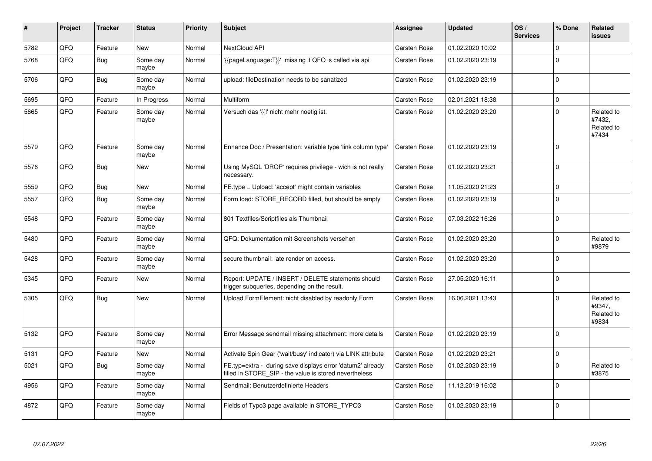| ∦    | Project | <b>Tracker</b> | <b>Status</b>     | <b>Priority</b> | <b>Subject</b>                                                                                                       | Assignee            | <b>Updated</b>   | OS/<br><b>Services</b> | % Done      | Related<br><b>issues</b>                    |
|------|---------|----------------|-------------------|-----------------|----------------------------------------------------------------------------------------------------------------------|---------------------|------------------|------------------------|-------------|---------------------------------------------|
| 5782 | QFQ     | Feature        | <b>New</b>        | Normal          | NextCloud API                                                                                                        | <b>Carsten Rose</b> | 01.02.2020 10:02 |                        | $\Omega$    |                                             |
| 5768 | QFQ     | Bug            | Some day<br>maybe | Normal          | '{{pageLanguage:T}}' missing if QFQ is called via api                                                                | Carsten Rose        | 01.02.2020 23:19 |                        | $\Omega$    |                                             |
| 5706 | QFQ     | Bug            | Some day<br>maybe | Normal          | upload: fileDestination needs to be sanatized                                                                        | <b>Carsten Rose</b> | 01.02.2020 23:19 |                        | $\Omega$    |                                             |
| 5695 | QFQ     | Feature        | In Progress       | Normal          | Multiform                                                                                                            | Carsten Rose        | 02.01.2021 18:38 |                        | $\mathbf 0$ |                                             |
| 5665 | QFQ     | Feature        | Some day<br>maybe | Normal          | Versuch das '{{!' nicht mehr noetig ist.                                                                             | <b>Carsten Rose</b> | 01.02.2020 23:20 |                        | $\Omega$    | Related to<br>#7432,<br>Related to<br>#7434 |
| 5579 | QFQ     | Feature        | Some day<br>maybe | Normal          | Enhance Doc / Presentation: variable type 'link column type'                                                         | Carsten Rose        | 01.02.2020 23:19 |                        | $\Omega$    |                                             |
| 5576 | QFQ     | Bug            | <b>New</b>        | Normal          | Using MySQL 'DROP' requires privilege - wich is not really<br>necessary.                                             | Carsten Rose        | 01.02.2020 23:21 |                        | $\Omega$    |                                             |
| 5559 | QFQ     | Bug            | <b>New</b>        | Normal          | FE.type = Upload: 'accept' might contain variables                                                                   | <b>Carsten Rose</b> | 11.05.2020 21:23 |                        | $\mathbf 0$ |                                             |
| 5557 | QFQ     | <b>Bug</b>     | Some day<br>maybe | Normal          | Form load: STORE RECORD filled, but should be empty                                                                  | Carsten Rose        | 01.02.2020 23:19 |                        | $\Omega$    |                                             |
| 5548 | QFQ     | Feature        | Some day<br>maybe | Normal          | 801 Textfiles/Scriptfiles als Thumbnail                                                                              | <b>Carsten Rose</b> | 07.03.2022 16:26 |                        | $\Omega$    |                                             |
| 5480 | QFQ     | Feature        | Some day<br>maybe | Normal          | QFQ: Dokumentation mit Screenshots versehen                                                                          | Carsten Rose        | 01.02.2020 23:20 |                        | $\Omega$    | Related to<br>#9879                         |
| 5428 | QFQ     | Feature        | Some day<br>maybe | Normal          | secure thumbnail: late render on access.                                                                             | Carsten Rose        | 01.02.2020 23:20 |                        | $\Omega$    |                                             |
| 5345 | QFQ     | Feature        | <b>New</b>        | Normal          | Report: UPDATE / INSERT / DELETE statements should<br>trigger subqueries, depending on the result.                   | <b>Carsten Rose</b> | 27.05.2020 16:11 |                        | $\Omega$    |                                             |
| 5305 | QFQ     | Bug            | <b>New</b>        | Normal          | Upload FormElement: nicht disabled by readonly Form                                                                  | Carsten Rose        | 16.06.2021 13:43 |                        | $\Omega$    | Related to<br>#9347,<br>Related to<br>#9834 |
| 5132 | QFQ     | Feature        | Some day<br>maybe | Normal          | Error Message sendmail missing attachment: more details                                                              | <b>Carsten Rose</b> | 01.02.2020 23:19 |                        | $\Omega$    |                                             |
| 5131 | QFQ     | Feature        | New               | Normal          | Activate Spin Gear ('wait/busy' indicator) via LINK attribute                                                        | Carsten Rose        | 01.02.2020 23:21 |                        | $\pmb{0}$   |                                             |
| 5021 | QFQ     | <b>Bug</b>     | Some day<br>maybe | Normal          | FE.typ=extra - during save displays error 'datum2' already<br>filled in STORE_SIP - the value is stored nevertheless | Carsten Rose        | 01.02.2020 23:19 |                        | $\Omega$    | Related to<br>#3875                         |
| 4956 | QFQ     | Feature        | Some day<br>maybe | Normal          | Sendmail: Benutzerdefinierte Headers                                                                                 | Carsten Rose        | 11.12.2019 16:02 |                        | $\mathbf 0$ |                                             |
| 4872 | QFQ     | Feature        | Some day<br>maybe | Normal          | Fields of Typo3 page available in STORE_TYPO3                                                                        | Carsten Rose        | 01.02.2020 23:19 |                        | $\Omega$    |                                             |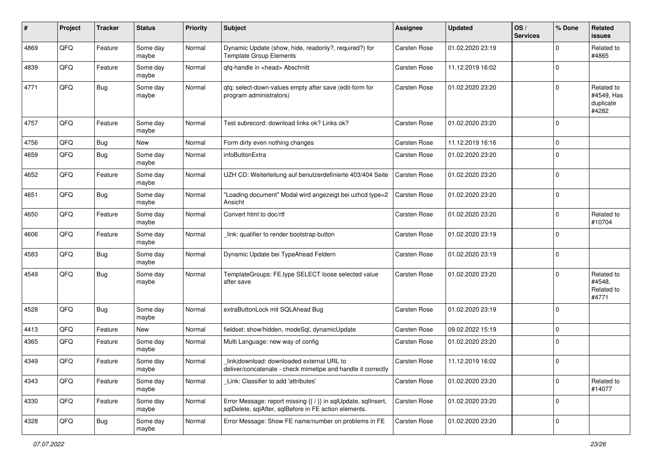| #    | Project | <b>Tracker</b> | <b>Status</b>     | <b>Priority</b> | <b>Subject</b>                                                                                                          | <b>Assignee</b>     | <b>Updated</b>   | OS/<br><b>Services</b> | % Done       | Related<br>issues                              |
|------|---------|----------------|-------------------|-----------------|-------------------------------------------------------------------------------------------------------------------------|---------------------|------------------|------------------------|--------------|------------------------------------------------|
| 4869 | QFQ     | Feature        | Some day<br>maybe | Normal          | Dynamic Update (show, hide, readonly?, required?) for<br><b>Template Group Elements</b>                                 | <b>Carsten Rose</b> | 01.02.2020 23:19 |                        | $\Omega$     | Related to<br>#4865                            |
| 4839 | QFQ     | Feature        | Some day<br>maybe | Normal          | gfg-handle in <head> Abschnitt</head>                                                                                   | Carsten Rose        | 11.12.2019 16:02 |                        | $\mathbf 0$  |                                                |
| 4771 | QFQ     | Bug            | Some day<br>maybe | Normal          | gfg: select-down-values empty after save (edit-form for<br>program administrators)                                      | <b>Carsten Rose</b> | 01.02.2020 23:20 |                        | $\Omega$     | Related to<br>#4549, Has<br>duplicate<br>#4282 |
| 4757 | QFQ     | Feature        | Some day<br>maybe | Normal          | Test subrecord: download links ok? Links ok?                                                                            | <b>Carsten Rose</b> | 01.02.2020 23:20 |                        | $\Omega$     |                                                |
| 4756 | QFQ     | Bug            | New               | Normal          | Form dirty even nothing changes                                                                                         | Carsten Rose        | 11.12.2019 16:16 |                        | $\Omega$     |                                                |
| 4659 | QFQ     | <b>Bug</b>     | Some day<br>maybe | Normal          | infoButtonExtra                                                                                                         | <b>Carsten Rose</b> | 01.02.2020 23:20 |                        | $\Omega$     |                                                |
| 4652 | QFQ     | Feature        | Some day<br>maybe | Normal          | UZH CD: Weiterleitung auf benutzerdefinierte 403/404 Seite                                                              | <b>Carsten Rose</b> | 01.02.2020 23:20 |                        | $\mathbf{0}$ |                                                |
| 4651 | QFQ     | <b>Bug</b>     | Some day<br>maybe | Normal          | "Loading document" Modal wird angezeigt bei uzhcd type=2<br>Ansicht                                                     | <b>Carsten Rose</b> | 01.02.2020 23:20 |                        | $\Omega$     |                                                |
| 4650 | QFQ     | Feature        | Some day<br>maybe | Normal          | Convert html to doc/rtf                                                                                                 | Carsten Rose        | 01.02.2020 23:20 |                        | $\Omega$     | Related to<br>#10704                           |
| 4606 | QFQ     | Feature        | Some day<br>maybe | Normal          | link: qualifier to render bootstrap button                                                                              | <b>Carsten Rose</b> | 01.02.2020 23:19 |                        | $\Omega$     |                                                |
| 4583 | QFQ     | Bug            | Some day<br>maybe | Normal          | Dynamic Update bei TypeAhead Feldern                                                                                    | <b>Carsten Rose</b> | 01.02.2020 23:19 |                        | $\Omega$     |                                                |
| 4549 | QFQ     | Bug            | Some day<br>maybe | Normal          | TemplateGroups: FE.type SELECT loose selected value<br>after save                                                       | <b>Carsten Rose</b> | 01.02.2020 23:20 |                        | $\Omega$     | Related to<br>#4548,<br>Related to<br>#4771    |
| 4528 | QFQ     | Bug            | Some day<br>maybe | Normal          | extraButtonLock mit SQLAhead Bug                                                                                        | Carsten Rose        | 01.02.2020 23:19 |                        | $\mathbf 0$  |                                                |
| 4413 | QFQ     | Feature        | New               | Normal          | fieldset: show/hidden, modeSql, dynamicUpdate                                                                           | <b>Carsten Rose</b> | 09.02.2022 15:19 |                        | 0            |                                                |
| 4365 | QFQ     | Feature        | Some day<br>maybe | Normal          | Multi Language: new way of config                                                                                       | Carsten Rose        | 01.02.2020 23:20 |                        | $\Omega$     |                                                |
| 4349 | QFQ     | Feature        | Some day<br>maybe | Normal          | link download: downloaded external URL to<br>deliver/concatenate - check mimetipe and handle it correctly               | Carsten Rose        | 11.12.2019 16:02 |                        | $\Omega$     |                                                |
| 4343 | QFQ     | Feature        | Some day<br>maybe | Normal          | Link: Classifier to add 'attributes'                                                                                    | Carsten Rose        | 01.02.2020 23:20 |                        | $\mathbf 0$  | Related to<br>#14077                           |
| 4330 | QFQ     | Feature        | Some day<br>maybe | Normal          | Error Message: report missing {{ / }} in sqlUpdate, sqlInsert,<br>sqlDelete, sqlAfter, sqlBefore in FE action elements. | <b>Carsten Rose</b> | 01.02.2020 23:20 |                        | $\mathbf 0$  |                                                |
| 4328 | QFQ     | Bug            | Some day<br>maybe | Normal          | Error Message: Show FE name/number on problems in FE                                                                    | Carsten Rose        | 01.02.2020 23:20 |                        | 0            |                                                |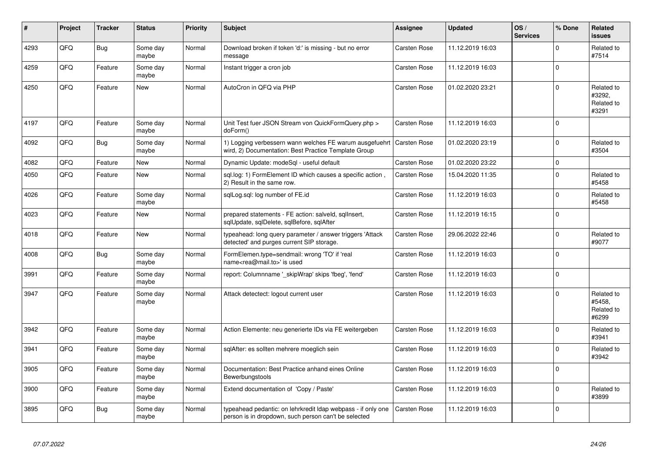| ∦    | Project | <b>Tracker</b> | <b>Status</b>     | <b>Priority</b> | <b>Subject</b>                                                                                                                 | Assignee            | <b>Updated</b>   | OS/<br><b>Services</b> | % Done      | Related<br><b>issues</b>                    |
|------|---------|----------------|-------------------|-----------------|--------------------------------------------------------------------------------------------------------------------------------|---------------------|------------------|------------------------|-------------|---------------------------------------------|
| 4293 | QFQ     | <b>Bug</b>     | Some day<br>maybe | Normal          | Download broken if token 'd:' is missing - but no error<br>message                                                             | <b>Carsten Rose</b> | 11.12.2019 16:03 |                        | $\Omega$    | Related to<br>#7514                         |
| 4259 | QFQ     | Feature        | Some day<br>maybe | Normal          | Instant trigger a cron job                                                                                                     | Carsten Rose        | 11.12.2019 16:03 |                        | $\mathbf 0$ |                                             |
| 4250 | QFQ     | Feature        | New               | Normal          | AutoCron in QFQ via PHP                                                                                                        | Carsten Rose        | 01.02.2020 23:21 |                        | $\Omega$    | Related to<br>#3292.<br>Related to<br>#3291 |
| 4197 | QFQ     | Feature        | Some day<br>maybe | Normal          | Unit Test fuer JSON Stream von QuickFormQuery.php ><br>doForm()                                                                | Carsten Rose        | 11.12.2019 16:03 |                        | $\Omega$    |                                             |
| 4092 | QFQ     | Bug            | Some day<br>maybe | Normal          | 1) Logging verbessern wann welches FE warum ausgefuehrt   Carsten Rose<br>wird, 2) Documentation: Best Practice Template Group |                     | 01.02.2020 23:19 |                        | $\Omega$    | Related to<br>#3504                         |
| 4082 | QFQ     | Feature        | <b>New</b>        | Normal          | Dynamic Update: modeSgl - useful default                                                                                       | Carsten Rose        | 01.02.2020 23:22 |                        | $\Omega$    |                                             |
| 4050 | QFQ     | Feature        | <b>New</b>        | Normal          | sql.log: 1) FormElement ID which causes a specific action,<br>2) Result in the same row.                                       | <b>Carsten Rose</b> | 15.04.2020 11:35 |                        | $\Omega$    | Related to<br>#5458                         |
| 4026 | QFQ     | Feature        | Some day<br>maybe | Normal          | sglLog.sgl: log number of FE.id                                                                                                | Carsten Rose        | 11.12.2019 16:03 |                        | $\Omega$    | Related to<br>#5458                         |
| 4023 | QFQ     | Feature        | <b>New</b>        | Normal          | prepared statements - FE action: salveld, sqllnsert,<br>sqlUpdate, sqlDelete, sqlBefore, sqlAfter                              | <b>Carsten Rose</b> | 11.12.2019 16:15 |                        | $\Omega$    |                                             |
| 4018 | QFQ     | Feature        | <b>New</b>        | Normal          | typeahead: long query parameter / answer triggers 'Attack<br>detected' and purges current SIP storage.                         | Carsten Rose        | 29.06.2022 22:46 |                        | $\Omega$    | Related to<br>#9077                         |
| 4008 | QFQ     | Bug            | Some day<br>maybe | Normal          | FormElemen.type=sendmail: wrong 'TO' if 'real<br>name <rea@mail.to>' is used</rea@mail.to>                                     | Carsten Rose        | 11.12.2019 16:03 |                        | $\Omega$    |                                             |
| 3991 | QFQ     | Feature        | Some day<br>maybe | Normal          | report: Columnname '_skipWrap' skips 'fbeg', 'fend'                                                                            | Carsten Rose        | 11.12.2019 16:03 |                        | $\Omega$    |                                             |
| 3947 | QFQ     | Feature        | Some day<br>maybe | Normal          | Attack detectect: logout current user                                                                                          | <b>Carsten Rose</b> | 11.12.2019 16:03 |                        | $\Omega$    | Related to<br>#5458,<br>Related to<br>#6299 |
| 3942 | QFQ     | Feature        | Some day<br>maybe | Normal          | Action Elemente: neu generierte IDs via FE weitergeben                                                                         | <b>Carsten Rose</b> | 11.12.2019 16:03 |                        | $\Omega$    | Related to<br>#3941                         |
| 3941 | QFQ     | Feature        | Some day<br>maybe | Normal          | sqlAfter: es sollten mehrere moeglich sein                                                                                     | Carsten Rose        | 11.12.2019 16:03 |                        | $\Omega$    | Related to<br>#3942                         |
| 3905 | QFQ     | Feature        | Some day<br>maybe | Normal          | Documentation: Best Practice anhand eines Online<br>Bewerbungstools                                                            | Carsten Rose        | 11.12.2019 16:03 |                        | $\Omega$    |                                             |
| 3900 | QFQ     | Feature        | Some day<br>maybe | Normal          | Extend documentation of 'Copy / Paste'                                                                                         | <b>Carsten Rose</b> | 11.12.2019 16:03 |                        | $\Omega$    | Related to<br>#3899                         |
| 3895 | QFQ     | Bug            | Some day<br>maybe | Normal          | typeahead pedantic: on lehrkredit Idap webpass - if only one<br>person is in dropdown, such person can't be selected           | <b>Carsten Rose</b> | 11.12.2019 16:03 |                        | $\Omega$    |                                             |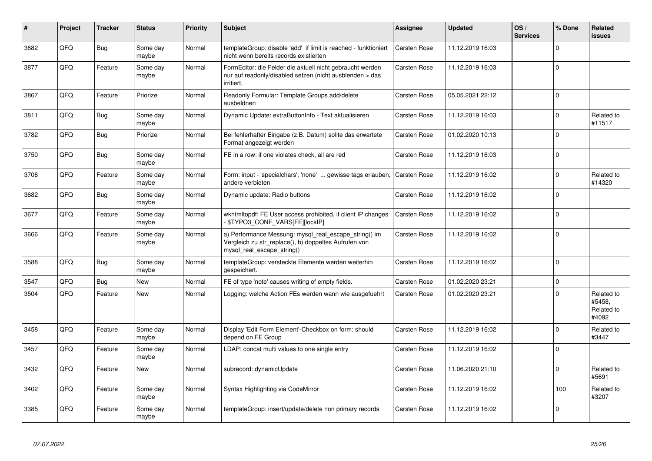| #    | Project | <b>Tracker</b> | <b>Status</b>     | <b>Priority</b> | <b>Subject</b>                                                                                                                               | Assignee            | <b>Updated</b>   | OS/<br><b>Services</b> | % Done      | Related<br><b>issues</b>                    |
|------|---------|----------------|-------------------|-----------------|----------------------------------------------------------------------------------------------------------------------------------------------|---------------------|------------------|------------------------|-------------|---------------------------------------------|
| 3882 | QFQ     | Bug            | Some day<br>maybe | Normal          | templateGroup: disable 'add' if limit is reached - funktioniert<br>nicht wenn bereits records existierten                                    | <b>Carsten Rose</b> | 11.12.2019 16:03 |                        | $\Omega$    |                                             |
| 3877 | QFQ     | Feature        | Some day<br>maybe | Normal          | FormEditor: die Felder die aktuell nicht gebraucht werden<br>nur auf readonly/disabled setzen (nicht ausblenden > das<br>irritiert.          | Carsten Rose        | 11.12.2019 16:03 |                        | $\Omega$    |                                             |
| 3867 | QFQ     | Feature        | Priorize          | Normal          | Readonly Formular: Template Groups add/delete<br>ausbeldnen                                                                                  | <b>Carsten Rose</b> | 05.05.2021 22:12 |                        | $\mathbf 0$ |                                             |
| 3811 | QFQ     | Bug            | Some day<br>maybe | Normal          | Dynamic Update: extraButtonInfo - Text aktualisieren                                                                                         | <b>Carsten Rose</b> | 11.12.2019 16:03 |                        | $\Omega$    | Related to<br>#11517                        |
| 3782 | QFQ     | Bug            | Priorize          | Normal          | Bei fehlerhafter Eingabe (z.B. Datum) sollte das erwartete<br>Format angezeigt werden                                                        | <b>Carsten Rose</b> | 01.02.2020 10:13 |                        | $\Omega$    |                                             |
| 3750 | QFQ     | <b>Bug</b>     | Some day<br>maybe | Normal          | FE in a row: if one violates check, all are red                                                                                              | Carsten Rose        | 11.12.2019 16:03 |                        | $\Omega$    |                                             |
| 3708 | QFQ     | Feature        | Some day<br>maybe | Normal          | Form: input - 'specialchars', 'none'  gewisse tags erlauben,<br>andere verbieten                                                             | <b>Carsten Rose</b> | 11.12.2019 16:02 |                        | $\Omega$    | Related to<br>#14320                        |
| 3682 | QFQ     | <b>Bug</b>     | Some day<br>maybe | Normal          | Dynamic update: Radio buttons                                                                                                                | Carsten Rose        | 11.12.2019 16:02 |                        | $\Omega$    |                                             |
| 3677 | QFQ     | Feature        | Some day<br>maybe | Normal          | wkhtmltopdf: FE User access prohibited, if client IP changes<br>- \$TYPO3_CONF_VARS[FE][lockIP]                                              | <b>Carsten Rose</b> | 11.12.2019 16:02 |                        | $\mathbf 0$ |                                             |
| 3666 | QFQ     | Feature        | Some day<br>maybe | Normal          | a) Performance Messung: mysql_real_escape_string() im<br>Vergleich zu str_replace(), b) doppeltes Aufrufen von<br>mysql real escape string() | <b>Carsten Rose</b> | 11.12.2019 16:02 |                        | 0 l         |                                             |
| 3588 | QFQ     | Bug            | Some day<br>maybe | Normal          | templateGroup: versteckte Elemente werden weiterhin<br>gespeichert.                                                                          | Carsten Rose        | 11.12.2019 16:02 |                        | $\Omega$    |                                             |
| 3547 | QFQ     | <b>Bug</b>     | <b>New</b>        | Normal          | FE of type 'note' causes writing of empty fields.                                                                                            | Carsten Rose        | 01.02.2020 23:21 |                        | $\mathbf 0$ |                                             |
| 3504 | QFQ     | Feature        | <b>New</b>        | Normal          | Logging: welche Action FEs werden wann wie ausgefuehrt                                                                                       | Carsten Rose        | 01.02.2020 23:21 |                        | $\Omega$    | Related to<br>#5458,<br>Related to<br>#4092 |
| 3458 | QFQ     | Feature        | Some day<br>maybe | Normal          | Display 'Edit Form Element'-Checkbox on form: should<br>depend on FE Group                                                                   | <b>Carsten Rose</b> | 11.12.2019 16:02 |                        | $\Omega$    | Related to<br>#3447                         |
| 3457 | QFQ     | Feature        | Some day<br>maybe | Normal          | LDAP: concat multi values to one single entry                                                                                                | <b>Carsten Rose</b> | 11.12.2019 16:02 |                        | $\Omega$    |                                             |
| 3432 | QFQ     | Feature        | <b>New</b>        | Normal          | subrecord: dynamicUpdate                                                                                                                     | Carsten Rose        | 11.06.2020 21:10 |                        | $\Omega$    | Related to<br>#5691                         |
| 3402 | QFQ     | Feature        | Some day<br>maybe | Normal          | Syntax Highlighting via CodeMirror                                                                                                           | <b>Carsten Rose</b> | 11.12.2019 16:02 |                        | 100         | Related to<br>#3207                         |
| 3385 | QFQ     | Feature        | Some day<br>maybe | Normal          | templateGroup: insert/update/delete non primary records                                                                                      | Carsten Rose        | 11.12.2019 16:02 |                        | $\Omega$    |                                             |